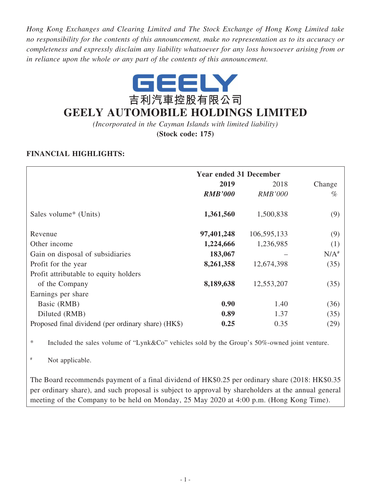*Hong Kong Exchanges and Clearing Limited and The Stock Exchange of Hong Kong Limited take no responsibility for the contents of this announcement, make no representation as to its accuracy or completeness and expressly disclaim any liability whatsoever for any loss howsoever arising from or in reliance upon the whole or any part of the contents of this announcement.*



# **GEELY AUTOMOBILE HOLDINGS LIMITED**

*(Incorporated in the Cayman Islands with limited liability)*

**(Stock code: 175)**

# **FINANCIAL HIGHLIGHTS:**

|                                                     | <b>Year ended 31 December</b> |                |         |
|-----------------------------------------------------|-------------------------------|----------------|---------|
|                                                     | 2019                          | 2018           | Change  |
|                                                     | <b>RMB'000</b>                | <b>RMB'000</b> | $\%$    |
| Sales volume <sup>*</sup> (Units)                   | 1,361,560                     | 1,500,838      | (9)     |
| Revenue                                             | 97,401,248                    | 106,595,133    | (9)     |
| Other income                                        | 1,224,666                     | 1,236,985      | (1)     |
| Gain on disposal of subsidiaries                    | 183,067                       |                | $N/A^*$ |
| Profit for the year                                 | 8,261,358                     | 12,674,398     | (35)    |
| Profit attributable to equity holders               |                               |                |         |
| of the Company                                      | 8,189,638                     | 12,553,207     | (35)    |
| Earnings per share                                  |                               |                |         |
| Basic (RMB)                                         | 0.90                          | 1.40           | (36)    |
| Diluted (RMB)                                       | 0.89                          | 1.37           | (35)    |
| Proposed final dividend (per ordinary share) (HK\$) | 0.25                          | 0.35           | (29)    |

\* Included the sales volume of "Lynk&Co" vehicles sold by the Group's 50%-owned joint venture.

# Not applicable.

The Board recommends payment of a final dividend of HK\$0.25 per ordinary share (2018: HK\$0.35 per ordinary share), and such proposal is subject to approval by shareholders at the annual general meeting of the Company to be held on Monday, 25 May 2020 at 4:00 p.m. (Hong Kong Time).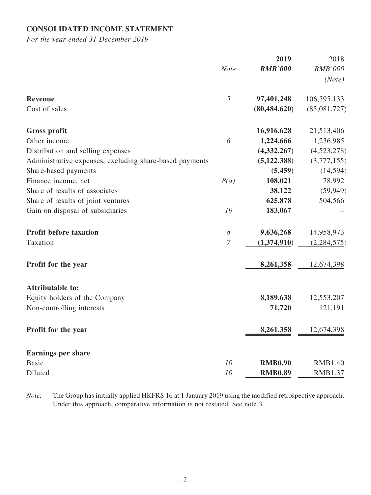# **CONSOLIDATED INCOME STATEMENT**

*For the year ended 31 December 2019*

|                                                         |                       | 2019           | 2018           |
|---------------------------------------------------------|-----------------------|----------------|----------------|
|                                                         | <b>Note</b>           | <b>RMB'000</b> | <b>RMB'000</b> |
|                                                         |                       |                | (Note)         |
| Revenue                                                 | 5                     | 97,401,248     | 106,595,133    |
| Cost of sales                                           |                       | (80, 484, 620) | (85,081,727)   |
| <b>Gross profit</b>                                     |                       | 16,916,628     | 21,513,406     |
| Other income                                            | 6                     | 1,224,666      | 1,236,985      |
| Distribution and selling expenses                       |                       | (4,332,267)    | (4,523,278)    |
| Administrative expenses, excluding share-based payments |                       | (5, 122, 388)  | (3,777,155)    |
| Share-based payments                                    |                       | (5, 459)       | (14, 594)      |
| Finance income, net                                     | 8(a)                  | 108,021        | 78,992         |
| Share of results of associates                          |                       | 38,122         | (59, 949)      |
| Share of results of joint ventures                      |                       | 625,878        | 504,566        |
| Gain on disposal of subsidiaries                        | 19                    | 183,067        |                |
| <b>Profit before taxation</b>                           | $\boldsymbol{\delta}$ | 9,636,268      | 14,958,973     |
| Taxation                                                | $\overline{7}$        | (1,374,910)    | (2, 284, 575)  |
| Profit for the year                                     |                       | 8,261,358      | 12,674,398     |
| <b>Attributable to:</b>                                 |                       |                |                |
| Equity holders of the Company                           |                       | 8,189,638      | 12,553,207     |
| Non-controlling interests                               |                       | 71,720         | 121,191        |
| Profit for the year                                     |                       | 8,261,358      | 12,674,398     |
| <b>Earnings per share</b>                               |                       |                |                |
| <b>Basic</b>                                            | 10                    | <b>RMB0.90</b> | <b>RMB1.40</b> |
| Diluted                                                 | 10                    | <b>RMB0.89</b> | RMB1.37        |

*Note:* The Group has initially applied HKFRS 16 at 1 January 2019 using the modified retrospective approach. Under this approach, comparative information is not restated. See note 3.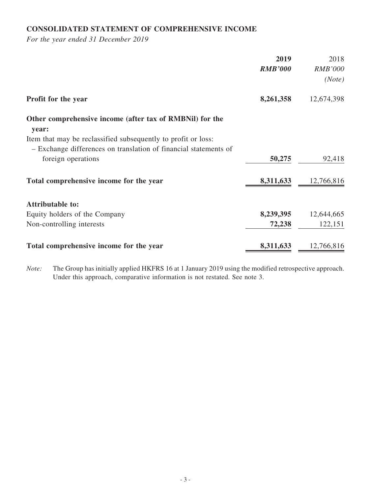# **CONSOLIDATED STATEMENT OF COMPREHENSIVE INCOME**

*For the year ended 31 December 2019*

|                                                                   | 2019           | 2018           |
|-------------------------------------------------------------------|----------------|----------------|
|                                                                   | <b>RMB'000</b> | <b>RMB'000</b> |
|                                                                   |                | (Note)         |
| Profit for the year                                               | 8,261,358      | 12,674,398     |
| Other comprehensive income (after tax of RMBNil) for the<br>year: |                |                |
| Item that may be reclassified subsequently to profit or loss:     |                |                |
| - Exchange differences on translation of financial statements of  |                |                |
| foreign operations                                                | 50,275         | 92,418         |
| Total comprehensive income for the year                           | 8,311,633      | 12,766,816     |
| <b>Attributable to:</b>                                           |                |                |
| Equity holders of the Company                                     | 8,239,395      | 12,644,665     |
| Non-controlling interests                                         | 72,238         | 122,151        |
| Total comprehensive income for the year                           | 8,311,633      | 12,766,816     |

*Note:* The Group has initially applied HKFRS 16 at 1 January 2019 using the modified retrospective approach. Under this approach, comparative information is not restated. See note 3.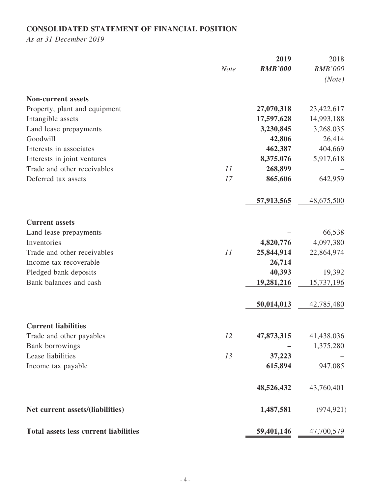# **CONSOLIDATED STATEMENT OF FINANCIAL POSITION**

*As at 31 December 2019*

|                                              |             | 2019           | 2018           |
|----------------------------------------------|-------------|----------------|----------------|
|                                              | <b>Note</b> | <b>RMB'000</b> | <b>RMB'000</b> |
|                                              |             |                | (Note)         |
|                                              |             |                |                |
| <b>Non-current assets</b>                    |             |                |                |
| Property, plant and equipment                |             | 27,070,318     | 23,422,617     |
| Intangible assets                            |             | 17,597,628     | 14,993,188     |
| Land lease prepayments                       |             | 3,230,845      | 3,268,035      |
| Goodwill                                     |             | 42,806         | 26,414         |
| Interests in associates                      |             | 462,387        | 404,669        |
| Interests in joint ventures                  |             | 8,375,076      | 5,917,618      |
| Trade and other receivables                  | 11          | 268,899        |                |
| Deferred tax assets                          | 17          | 865,606        | 642,959        |
|                                              |             | 57,913,565     | 48,675,500     |
|                                              |             |                |                |
| <b>Current assets</b>                        |             |                |                |
| Land lease prepayments                       |             |                | 66,538         |
| Inventories                                  |             | 4,820,776      | 4,097,380      |
| Trade and other receivables                  | 11          | 25,844,914     | 22,864,974     |
| Income tax recoverable                       |             | 26,714         |                |
| Pledged bank deposits                        |             | 40,393         | 19,392         |
| Bank balances and cash                       |             | 19,281,216     | 15,737,196     |
|                                              |             | 50,014,013     | 42,785,480     |
|                                              |             |                |                |
| <b>Current liabilities</b>                   |             |                |                |
| Trade and other payables                     | 12          | 47,873,315     | 41,438,036     |
| Bank borrowings                              |             |                | 1,375,280      |
| Lease liabilities                            | 13          | 37,223         |                |
| Income tax payable                           |             | 615,894        | 947,085        |
|                                              |             | 48,526,432     | 43,760,401     |
| Net current assets/(liabilities)             |             | 1,487,581      | (974, 921)     |
| <b>Total assets less current liabilities</b> |             | 59,401,146     | 47,700,579     |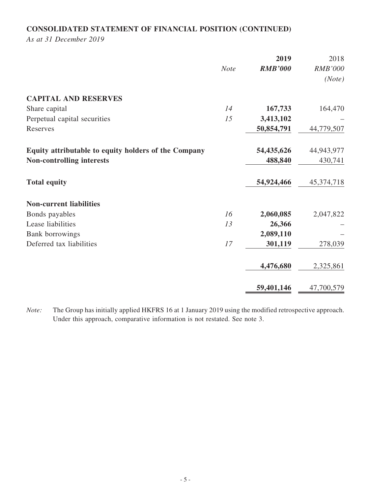# **CONSOLIDATED STATEMENT OF FINANCIAL POSITION (CONTINUED)**

*As at 31 December 2019*

|                                                      |             | 2019           | 2018           |
|------------------------------------------------------|-------------|----------------|----------------|
|                                                      | <b>Note</b> | <b>RMB'000</b> | <b>RMB'000</b> |
|                                                      |             |                | (Note)         |
| <b>CAPITAL AND RESERVES</b>                          |             |                |                |
| Share capital                                        | 14          | 167,733        | 164,470        |
| Perpetual capital securities                         | 15          | 3,413,102      |                |
| Reserves                                             |             | 50,854,791     | 44,779,507     |
| Equity attributable to equity holders of the Company |             | 54,435,626     | 44,943,977     |
| <b>Non-controlling interests</b>                     |             | 488,840        | 430,741        |
| <b>Total equity</b>                                  |             | 54,924,466     | 45,374,718     |
| <b>Non-current liabilities</b>                       |             |                |                |
| Bonds payables                                       | 16          | 2,060,085      | 2,047,822      |
| Lease liabilities                                    | 13          | 26,366         |                |
| <b>Bank borrowings</b>                               |             | 2,089,110      |                |
| Deferred tax liabilities                             | 17          | 301,119        | 278,039        |
|                                                      |             | 4,476,680      | 2,325,861      |
|                                                      |             | 59,401,146     | 47,700,579     |

*Note:* The Group has initially applied HKFRS 16 at 1 January 2019 using the modified retrospective approach. Under this approach, comparative information is not restated. See note 3.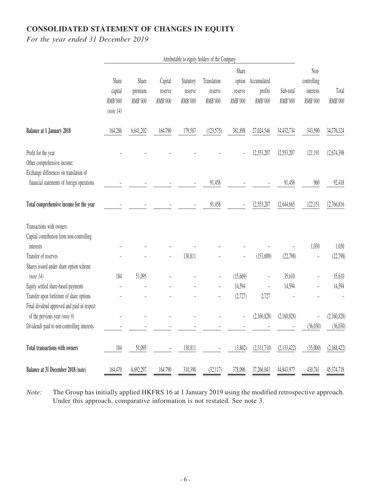# **CONSOLIDATED STATEMENT OF CHANGES IN EQUITY**

*For the year ended 31 December 2019*

|                                                                                              |                      |                  |                    |                      | Attributable to equity holders of the Company |                   |                        |             |                          |             |
|----------------------------------------------------------------------------------------------|----------------------|------------------|--------------------|----------------------|-----------------------------------------------|-------------------|------------------------|-------------|--------------------------|-------------|
|                                                                                              |                      |                  |                    |                      |                                               | Share             |                        |             | Non-                     |             |
|                                                                                              | Share<br>capital     | Share<br>premium | Capital<br>reserve | Statutory<br>reserve | Translation<br>reserve                        | option<br>reserve | Accumulated<br>profits | Sub-total   | controlling<br>interests | Total       |
|                                                                                              | RMB'000<br>(note 14) | RMB'000          | RMB'000            | RMB'000              | RMB'000                                       | RMB'000           | RMB'000                | RMB'000     | RMB'000                  | RMB'000     |
| <b>Balance at 1 January 2018</b>                                                             | 164,286              | 6,641,202        | 164,790            | 179,587              | (123, 575)                                    | 381,898           | 27,024,546             | 34,432,734  | 343,590                  | 34,776,324  |
| Profit for the year<br>Other comprehensive income:<br>Exchange differences on translation of |                      |                  |                    |                      |                                               |                   | 12,553,207             | 12,553,207  | 121,191                  | 12,674,398  |
| financial statements of foreign operations                                                   |                      |                  |                    |                      | 91,458                                        |                   |                        | 91,458      | 960                      | 92,418      |
| Total comprehensive income for the year                                                      |                      |                  |                    |                      | 91,458                                        |                   | 12,553,207             | 12,644,665  | 122,151                  | 12,766,816  |
| Transactions with owners:                                                                    |                      |                  |                    |                      |                                               |                   |                        |             |                          |             |
| Capital contribution from non-controlling                                                    |                      |                  |                    |                      |                                               |                   |                        |             |                          |             |
| interests                                                                                    |                      |                  |                    |                      |                                               |                   |                        |             | 1,030                    | 1,030       |
| Transfer of reserves                                                                         |                      |                  |                    | 130,811              |                                               |                   | (153,609)              | (22, 798)   | $\overline{a}$           | (22, 798)   |
| Shares issued under share option scheme                                                      |                      |                  |                    |                      |                                               |                   |                        |             |                          |             |
| (note 14)                                                                                    | 184                  | 51,095           |                    |                      |                                               | (15,669)          |                        | 35,610      |                          | 35,610      |
| Equity settled share-based payments                                                          |                      |                  |                    |                      |                                               | 14,594            |                        | 14,594      |                          | 14,594      |
| Transfer upon forfeiture of share options                                                    |                      |                  |                    |                      | $\overline{\phantom{0}}$                      | (2,727)           | 2,727                  |             |                          |             |
| Final dividend approved and paid in respect                                                  |                      |                  |                    |                      |                                               |                   |                        |             |                          |             |
| of the previous year (note 9)                                                                |                      |                  |                    |                      |                                               |                   | (2,160,828)            | (2,160,828) | $\overline{a}$           | (2,160,828) |
| Dividends paid to non-controlling interests                                                  |                      |                  |                    |                      |                                               |                   |                        |             | (36,030)                 | (36,030)    |
| Total transactions with owners                                                               | 184                  | 51,095           |                    | 130,811              |                                               | (3,802)           | (2,311,710)            | (2,133,422) | (35,000)                 | (2,168,422) |
| Balance at 31 December 2018 (note)                                                           | 164,470              | 6,692,297        | 164,790            | 310,398              | (32,117)                                      | 378,096           | 37,266,043             | 44,943,977  | 430,741                  | 45,374,718  |

*Note:* The Group has initially applied HKFRS 16 at 1 January 2019 using the modified retrospective approach. Under this approach, comparative information is not restated. See note 3.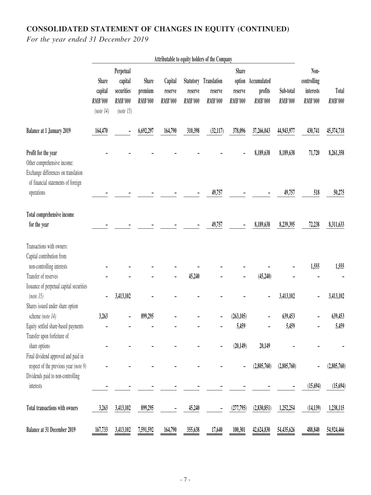# **CONSOLIDATED STATEMENT OF CHANGES IN EQUITY (CONTINUED)**

*For the year ended 31 December 2019*

|                                                                                                                                 |                                                 |                                                                   |                                    |                                      |                           | Attributable to equity holders of the Company             |                                           |                                                 |                             |                                                    |                         |
|---------------------------------------------------------------------------------------------------------------------------------|-------------------------------------------------|-------------------------------------------------------------------|------------------------------------|--------------------------------------|---------------------------|-----------------------------------------------------------|-------------------------------------------|-------------------------------------------------|-----------------------------|----------------------------------------------------|-------------------------|
|                                                                                                                                 | Share<br>capital<br><b>RMB'000</b><br>(note 14) | Perpetual<br>capital<br>securities<br><b>RMB'000</b><br>(note 15) | Share<br>premium<br><b>RMB'000</b> | Capital<br>reserve<br><b>RMB'000</b> | reserve<br><b>RMB'000</b> | <b>Statutory</b> Translation<br>reserve<br><b>RMB'000</b> | <b>Share</b><br>reserve<br><b>RMB'000</b> | option Accumulated<br>profits<br><b>RMB'000</b> | Sub-total<br><b>RMB'000</b> | Non-<br>controlling<br>interests<br><b>RMB'000</b> | Total<br><b>RMB'000</b> |
| <b>Balance at 1 January 2019</b>                                                                                                | 164,470                                         |                                                                   | 6,692,297                          | 164,790                              | 310,398                   | (32, 117)                                                 | 378,096                                   | 37,266,043                                      | 44,943,977                  | 430,741                                            | 45,374,718              |
| Profit for the year<br>Other comprehensive income:<br>Exchange differences on translation<br>of financial statements of foreign |                                                 |                                                                   |                                    |                                      |                           |                                                           |                                           | 8,189,638                                       | 8,189,638                   | 71,720                                             | 8,261,358               |
| operations                                                                                                                      |                                                 |                                                                   |                                    |                                      |                           | 49,757                                                    |                                           |                                                 | 49,757                      | 518                                                | 50,275                  |
| Total comprehensive income<br>for the year                                                                                      |                                                 |                                                                   |                                    |                                      |                           | 49,757                                                    |                                           | 8,189,638                                       | 8,239,395                   | 72,238                                             | 8,311,633               |
| Transactions with owners:<br>Capital contribution from                                                                          |                                                 |                                                                   |                                    |                                      |                           |                                                           |                                           |                                                 |                             |                                                    |                         |
| non-controlling interests<br>Transfer of reserves<br>Issuance of perpetual capital securities                                   |                                                 |                                                                   |                                    |                                      | 45,240                    |                                                           |                                           | (45,240)                                        |                             | 1,555                                              | 1,555                   |
| (note 15)<br>Shares issued under share option                                                                                   |                                                 | 3,413,102                                                         |                                    |                                      |                           |                                                           |                                           |                                                 | 3,413,102                   |                                                    | 3,413,102               |
| scheme (note 14)                                                                                                                | 3,263                                           |                                                                   | 899,295                            |                                      |                           |                                                           | (263, 105)                                |                                                 | 639,453                     |                                                    | 639,453                 |
| Equity settled share-based payments<br>Transfer upon forfeiture of                                                              |                                                 |                                                                   |                                    |                                      |                           |                                                           | 5,459                                     |                                                 | 5,459                       |                                                    | 5,459                   |
| share options<br>Final dividend approved and paid in                                                                            |                                                 |                                                                   |                                    |                                      |                           |                                                           | (20, 149)                                 | 20,149                                          |                             |                                                    |                         |
| respect of the previous year (note 9)<br>Dividends paid to non-controlling                                                      |                                                 |                                                                   |                                    |                                      |                           |                                                           |                                           | (2,805,760)                                     | (2,805,760)                 |                                                    | (2,805,760)             |
| interests                                                                                                                       |                                                 |                                                                   |                                    |                                      |                           |                                                           |                                           |                                                 |                             | (15, 694)                                          | (15, 694)               |
| Total transactions with owners                                                                                                  | 3,263                                           | 3,413,102                                                         | 899,295                            |                                      | 45,240                    |                                                           | (277,795)                                 | (2,830,851)                                     | 1,252,254                   | (14, 139)                                          | 1,238,115               |
| Balance at 31 December 2019                                                                                                     | 167,733                                         | 3,413,102                                                         | 7,591,592                          | 164,790                              | 355,638                   | 17,640                                                    | 100,301                                   | 42,624,830                                      | 54,435,626                  | 488,840                                            | 54,924,466              |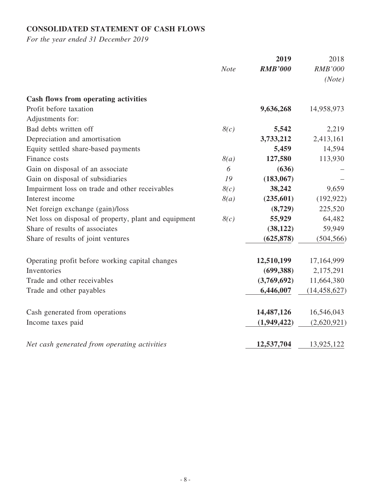# **CONSOLIDATED STATEMENT OF CASH FLOWS**

*For the year ended 31 December 2019*

|                                                       |             | 2019           | 2018           |
|-------------------------------------------------------|-------------|----------------|----------------|
|                                                       | <b>Note</b> | <b>RMB'000</b> | <b>RMB'000</b> |
|                                                       |             |                | (Note)         |
| <b>Cash flows from operating activities</b>           |             |                |                |
| Profit before taxation                                |             | 9,636,268      | 14,958,973     |
| Adjustments for:                                      |             |                |                |
| Bad debts written off                                 | 8(c)        | 5,542          | 2,219          |
| Depreciation and amortisation                         |             | 3,733,212      | 2,413,161      |
| Equity settled share-based payments                   |             | 5,459          | 14,594         |
| Finance costs                                         | 8(a)        | 127,580        | 113,930        |
| Gain on disposal of an associate                      | 6           | (636)          |                |
| Gain on disposal of subsidiaries                      | 19          | (183, 067)     |                |
| Impairment loss on trade and other receivables        | 8(c)        | 38,242         | 9,659          |
| Interest income                                       | 8(a)        | (235,601)      | (192, 922)     |
| Net foreign exchange (gain)/loss                      |             | (8,729)        | 225,520        |
| Net loss on disposal of property, plant and equipment | 8(c)        | 55,929         | 64,482         |
| Share of results of associates                        |             | (38, 122)      | 59,949         |
| Share of results of joint ventures                    |             | (625, 878)     | (504, 566)     |
| Operating profit before working capital changes       |             | 12,510,199     | 17,164,999     |
| Inventories                                           |             | (699, 388)     | 2,175,291      |
| Trade and other receivables                           |             | (3,769,692)    | 11,664,380     |
| Trade and other payables                              |             | 6,446,007      | (14, 458, 627) |
| Cash generated from operations                        |             | 14,487,126     | 16,546,043     |
| Income taxes paid                                     |             | (1,949,422)    | (2,620,921)    |
| Net cash generated from operating activities          |             | 12,537,704     | 13,925,122     |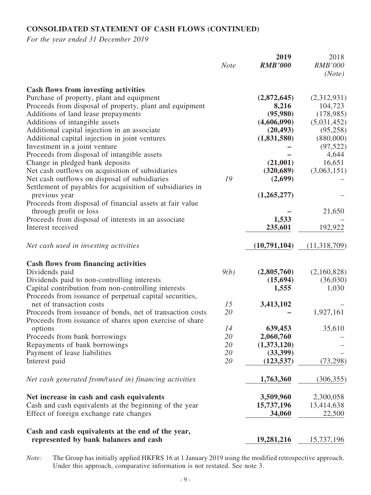# **CONSOLIDATED STATEMENT OF CASH FLOWS (CONTINUED)**

*For the year ended 31 December 2019*

|                                                                                                                                                                                                                                                                                                                                                                                                                                                                                                                                                                                                                                                                                                                                                                                                        | <b>Note</b>                | 2019<br><b>RMB'000</b>                                                                                                                              | 2018<br><b>RMB'000</b><br>(Note)                                                                                                                 |
|--------------------------------------------------------------------------------------------------------------------------------------------------------------------------------------------------------------------------------------------------------------------------------------------------------------------------------------------------------------------------------------------------------------------------------------------------------------------------------------------------------------------------------------------------------------------------------------------------------------------------------------------------------------------------------------------------------------------------------------------------------------------------------------------------------|----------------------------|-----------------------------------------------------------------------------------------------------------------------------------------------------|--------------------------------------------------------------------------------------------------------------------------------------------------|
| <b>Cash flows from investing activities</b><br>Purchase of property, plant and equipment<br>Proceeds from disposal of property, plant and equipment<br>Additions of land lease prepayments<br>Additions of intangible assets<br>Additional capital injection in an associate<br>Additional capital injection in joint ventures<br>Investment in a joint venture<br>Proceeds from disposal of intangible assets<br>Change in pledged bank deposits<br>Net cash outflows on acquisition of subsidiaries<br>Net cash outflows on disposal of subsidiaries<br>Settlement of payables for acquisition of subsidiaries in<br>previous year<br>Proceeds from disposal of financial assets at fair value<br>through profit or loss<br>Proceeds from disposal of interests in an associate<br>Interest received | 19                         | (2,872,645)<br>8,216<br>(95,980)<br>(4,606,090)<br>(20, 493)<br>(1,831,580)<br>(21,001)<br>(320, 689)<br>(2,699)<br>(1,265,277)<br>1,533<br>235,601 | (2,312,931)<br>104,723<br>(178,985)<br>(5,031,452)<br>(95, 258)<br>(880,000)<br>(97, 522)<br>4,644<br>16,651<br>(3,063,151)<br>21,650<br>192,922 |
| Net cash used in investing activities                                                                                                                                                                                                                                                                                                                                                                                                                                                                                                                                                                                                                                                                                                                                                                  |                            | (10,791,104)                                                                                                                                        | (11,318,709)                                                                                                                                     |
| <b>Cash flows from financing activities</b><br>Dividends paid<br>Dividends paid to non-controlling interests<br>Capital contribution from non-controlling interests<br>Proceeds from issuance of perpetual capital securities,                                                                                                                                                                                                                                                                                                                                                                                                                                                                                                                                                                         | 9(b)                       | (2,805,760)<br>(15,694)<br>1,555                                                                                                                    | (2,160,828)<br>(36,030)<br>1,030                                                                                                                 |
| net of transaction costs<br>Proceeds from issuance of bonds, net of transaction costs<br>Proceeds from issuance of shares upon exercise of share                                                                                                                                                                                                                                                                                                                                                                                                                                                                                                                                                                                                                                                       | 15<br>20                   | 3,413,102                                                                                                                                           | 1,927,161                                                                                                                                        |
| options<br>Proceeds from bank borrowings<br>Repayments of bank borrowings<br>Payment of lease liabilities<br>Interest paid                                                                                                                                                                                                                                                                                                                                                                                                                                                                                                                                                                                                                                                                             | 14<br>20<br>20<br>20<br>20 | 639,453<br>2,060,760<br>(1,373,120)<br>(33,399)<br>(123, 537)                                                                                       | 35,610<br>(73, 298)                                                                                                                              |
| Net cash generated from/(used in) financing activities                                                                                                                                                                                                                                                                                                                                                                                                                                                                                                                                                                                                                                                                                                                                                 |                            | 1,763,360                                                                                                                                           | (306, 355)                                                                                                                                       |
| Net increase in cash and cash equivalents<br>Cash and cash equivalents at the beginning of the year<br>Effect of foreign exchange rate changes                                                                                                                                                                                                                                                                                                                                                                                                                                                                                                                                                                                                                                                         |                            | 3,509,960<br>15,737,196<br>34,060                                                                                                                   | 2,300,058<br>13,414,638<br>22,500                                                                                                                |
| Cash and cash equivalents at the end of the year,<br>represented by bank balances and cash                                                                                                                                                                                                                                                                                                                                                                                                                                                                                                                                                                                                                                                                                                             |                            | 19,281,216                                                                                                                                          | 15,737,196                                                                                                                                       |

*Note:* The Group has initially applied HKFRS 16 at 1 January 2019 using the modified retrospective approach. Under this approach, comparative information is not restated. See note 3.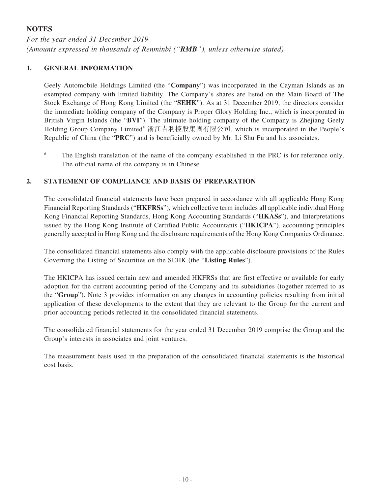# **NOTES**

*For the year ended 31 December 2019 (Amounts expressed in thousands of Renminbi ("RMB"), unless otherwise stated)*

## **1. GENERAL INFORMATION**

Geely Automobile Holdings Limited (the "**Company**") was incorporated in the Cayman Islands as an exempted company with limited liability. The Company's shares are listed on the Main Board of The Stock Exchange of Hong Kong Limited (the "**SEHK**"). As at 31 December 2019, the directors consider the immediate holding company of the Company is Proper Glory Holding Inc., which is incorporated in British Virgin Islands (the "**BVI**"). The ultimate holding company of the Company is Zhejiang Geely Holding Group Company Limited<sup>#</sup> 浙江吉利控股集團有限公司, which is incorporated in the People's Republic of China (the "**PRC**") and is beneficially owned by Mr. Li Shu Fu and his associates.

The English translation of the name of the company established in the PRC is for reference only. The official name of the company is in Chinese.

## **2. STATEMENT OF COMPLIANCE AND BASIS OF PREPARATION**

The consolidated financial statements have been prepared in accordance with all applicable Hong Kong Financial Reporting Standards ("**HKFRSs**"), which collective term includes all applicable individual Hong Kong Financial Reporting Standards, Hong Kong Accounting Standards ("**HKASs**"), and Interpretations issued by the Hong Kong Institute of Certified Public Accountants ("**HKICPA**"), accounting principles generally accepted in Hong Kong and the disclosure requirements of the Hong Kong Companies Ordinance.

The consolidated financial statements also comply with the applicable disclosure provisions of the Rules Governing the Listing of Securities on the SEHK (the "**Listing Rules**").

The HKICPA has issued certain new and amended HKFRSs that are first effective or available for early adoption for the current accounting period of the Company and its subsidiaries (together referred to as the "**Group**"). Note 3 provides information on any changes in accounting policies resulting from initial application of these developments to the extent that they are relevant to the Group for the current and prior accounting periods reflected in the consolidated financial statements.

The consolidated financial statements for the year ended 31 December 2019 comprise the Group and the Group's interests in associates and joint ventures.

The measurement basis used in the preparation of the consolidated financial statements is the historical cost basis.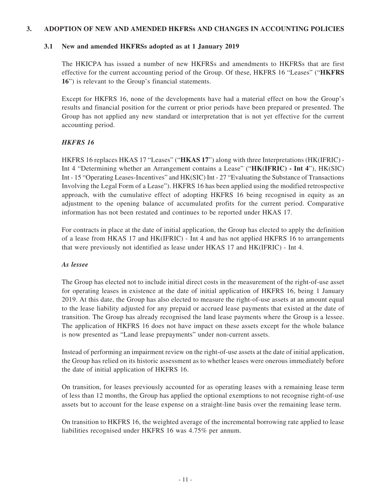#### **3. ADOPTION OF NEW AND AMENDED HKFRSs AND CHANGES IN ACCOUNTING POLICIES**

#### **3.1 New and amended HKFRSs adopted as at 1 January 2019**

The HKICPA has issued a number of new HKFRSs and amendments to HKFRSs that are first effective for the current accounting period of the Group. Of these, HKFRS 16 "Leases" ("**HKFRS 16**") is relevant to the Group's financial statements.

Except for HKFRS 16, none of the developments have had a material effect on how the Group's results and financial position for the current or prior periods have been prepared or presented. The Group has not applied any new standard or interpretation that is not yet effective for the current accounting period.

## *HKFRS 16*

HKFRS 16 replaces HKAS 17 "Leases" ("**HKAS 17**") along with three Interpretations (HK(IFRIC) - Int 4 "Determining whether an Arrangement contains a Lease" ("**HK(IFRIC) - Int 4**"), HK(SIC) Int - 15 "Operating Leases-Incentives" and HK(SIC) Int - 27 "Evaluating the Substance of Transactions Involving the Legal Form of a Lease"). HKFRS 16 has been applied using the modified retrospective approach, with the cumulative effect of adopting HKFRS 16 being recognised in equity as an adjustment to the opening balance of accumulated profits for the current period. Comparative information has not been restated and continues to be reported under HKAS 17.

For contracts in place at the date of initial application, the Group has elected to apply the definition of a lease from HKAS 17 and HK(IFRIC) - Int 4 and has not applied HKFRS 16 to arrangements that were previously not identified as lease under HKAS 17 and HK(IFRIC) - Int 4.

## *As lessee*

The Group has elected not to include initial direct costs in the measurement of the right-of-use asset for operating leases in existence at the date of initial application of HKFRS 16, being 1 January 2019. At this date, the Group has also elected to measure the right-of-use assets at an amount equal to the lease liability adjusted for any prepaid or accrued lease payments that existed at the date of transition. The Group has already recognised the land lease payments where the Group is a lessee. The application of HKFRS 16 does not have impact on these assets except for the whole balance is now presented as "Land lease prepayments" under non-current assets.

Instead of performing an impairment review on the right-of-use assets at the date of initial application, the Group has relied on its historic assessment as to whether leases were onerous immediately before the date of initial application of HKFRS 16.

On transition, for leases previously accounted for as operating leases with a remaining lease term of less than 12 months, the Group has applied the optional exemptions to not recognise right-of-use assets but to account for the lease expense on a straight-line basis over the remaining lease term.

On transition to HKFRS 16, the weighted average of the incremental borrowing rate applied to lease liabilities recognised under HKFRS 16 was 4.75% per annum.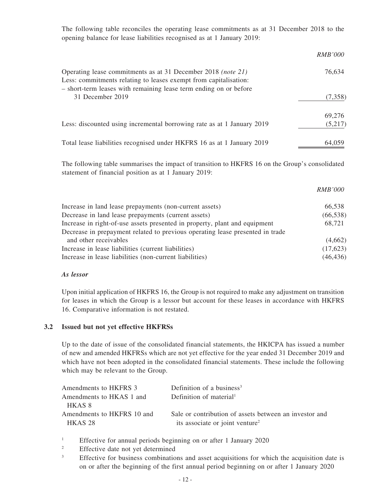The following table reconciles the operating lease commitments as at 31 December 2018 to the opening balance for lease liabilities recognised as at 1 January 2019:

|                                                                                                                                                                                                       | <i>RMB'000</i> |
|-------------------------------------------------------------------------------------------------------------------------------------------------------------------------------------------------------|----------------|
| Operating lease commitments as at 31 December 2018 (note 21)<br>Less: commitments relating to leases exempt from capitalisation:<br>- short-term leases with remaining lease term ending on or before | 76,634         |
| 31 December 2019                                                                                                                                                                                      | (7,358)        |
|                                                                                                                                                                                                       | 69,276         |
| Less: discounted using incremental borrowing rate as at 1 January 2019                                                                                                                                | (5,217)        |
| Total lease liabilities recognised under HKFRS 16 as at 1 January 2019                                                                                                                                | 64,059         |

The following table summarises the impact of transition to HKFRS 16 on the Group's consolidated statement of financial position as at 1 January 2019:

|                                                                               | <i>RMB'000</i> |
|-------------------------------------------------------------------------------|----------------|
| Increase in land lease prepayments (non-current assets)                       | 66,538         |
| Decrease in land lease prepayments (current assets)                           | (66, 538)      |
| Increase in right-of-use assets presented in property, plant and equipment    | 68,721         |
| Decrease in prepayment related to previous operating lease presented in trade |                |
| and other receivables                                                         | (4,662)        |
| Increase in lease liabilities (current liabilities)                           | (17,623)       |
| Increase in lease liabilities (non-current liabilities)                       | (46, 436)      |
|                                                                               |                |

#### *As lessor*

Upon initial application of HKFRS 16, the Group is not required to make any adjustment on transition for leases in which the Group is a lessor but account for these leases in accordance with HKFRS 16. Comparative information is not restated.

#### **3.2 Issued but not yet effective HKFRSs**

Up to the date of issue of the consolidated financial statements, the HKICPA has issued a number of new and amended HKFRSs which are not yet effective for the year ended 31 December 2019 and which have not been adopted in the consolidated financial statements. These include the following which may be relevant to the Group.

| Amendments to HKFRS 3                 | Definition of a business <sup>3</sup>                                                                 |
|---------------------------------------|-------------------------------------------------------------------------------------------------------|
| Amendments to HKAS 1 and              | Definition of material <sup>1</sup>                                                                   |
| HKAS 8                                |                                                                                                       |
| Amendments to HKFRS 10 and<br>HKAS 28 | Sale or contribution of assets between an investor and<br>its associate or joint venture <sup>2</sup> |

<sup>1</sup> Effective for annual periods beginning on or after 1 January 2020

<sup>2</sup> Effective date not yet determined

<sup>3</sup> Effective for business combinations and asset acquisitions for which the acquisition date is on or after the beginning of the first annual period beginning on or after 1 January 2020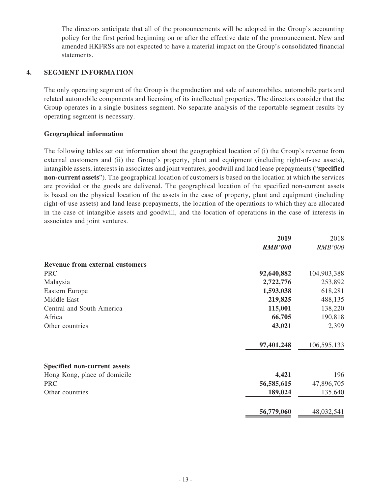The directors anticipate that all of the pronouncements will be adopted in the Group's accounting policy for the first period beginning on or after the effective date of the pronouncement. New and amended HKFRSs are not expected to have a material impact on the Group's consolidated financial statements.

### **4. SEGMENT INFORMATION**

The only operating segment of the Group is the production and sale of automobiles, automobile parts and related automobile components and licensing of its intellectual properties. The directors consider that the Group operates in a single business segment. No separate analysis of the reportable segment results by operating segment is necessary.

### **Geographical information**

The following tables set out information about the geographical location of (i) the Group's revenue from external customers and (ii) the Group's property, plant and equipment (including right-of-use assets), intangible assets, interests in associates and joint ventures, goodwill and land lease prepayments ("**specified non-current assets**"). The geographical location of customers is based on the location at which the services are provided or the goods are delivered. The geographical location of the specified non-current assets is based on the physical location of the assets in the case of property, plant and equipment (including right-of-use assets) and land lease prepayments, the location of the operations to which they are allocated in the case of intangible assets and goodwill, and the location of operations in the case of interests in associates and joint ventures.

|                                        | 2019           | 2018           |
|----------------------------------------|----------------|----------------|
|                                        | <b>RMB'000</b> | <b>RMB'000</b> |
| <b>Revenue from external customers</b> |                |                |
| <b>PRC</b>                             | 92,640,882     | 104,903,388    |
| Malaysia                               | 2,722,776      | 253,892        |
| Eastern Europe                         | 1,593,038      | 618,281        |
| Middle East                            | 219,825        | 488,135        |
| Central and South America              | 115,001        | 138,220        |
| Africa                                 | 66,705         | 190,818        |
| Other countries                        | 43,021         | 2,399          |
|                                        | 97,401,248     | 106,595,133    |
| <b>Specified non-current assets</b>    |                |                |
| Hong Kong, place of domicile           | 4,421          | 196            |
| <b>PRC</b>                             | 56,585,615     | 47,896,705     |
| Other countries                        | 189,024        | 135,640        |
|                                        | 56,779,060     | 48,032,541     |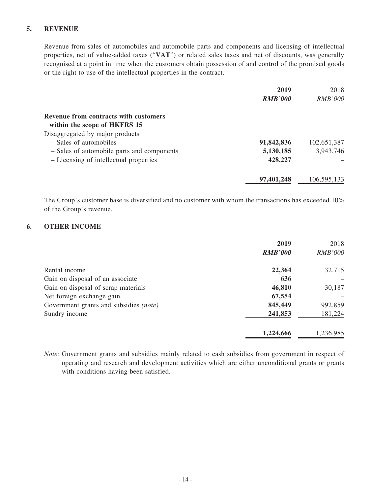## **5. REVENUE**

Revenue from sales of automobiles and automobile parts and components and licensing of intellectual properties, net of value-added taxes ("**VAT**") or related sales taxes and net of discounts, was generally recognised at a point in time when the customers obtain possession of and control of the promised goods or the right to use of the intellectual properties in the contract.

|                                              | 2019           | 2018           |
|----------------------------------------------|----------------|----------------|
|                                              | <b>RMB'000</b> | <i>RMB'000</i> |
| <b>Revenue from contracts with customers</b> |                |                |
| within the scope of HKFRS 15                 |                |                |
| Disaggregated by major products              |                |                |
| - Sales of automobiles                       | 91,842,836     | 102,651,387    |
| - Sales of automobile parts and components   | 5,130,185      | 3,943,746      |
| - Licensing of intellectual properties       | 428,227        |                |
|                                              | 97,401,248     | 106,595,133    |

The Group's customer base is diversified and no customer with whom the transactions has exceeded 10% of the Group's revenue.

### **6. OTHER INCOME**

|                                               | 2019           | 2018           |
|-----------------------------------------------|----------------|----------------|
|                                               | <b>RMB'000</b> | <b>RMB'000</b> |
| Rental income                                 | 22,364         | 32,715         |
| Gain on disposal of an associate              | 636            |                |
| Gain on disposal of scrap materials           | 46,810         | 30,187         |
| Net foreign exchange gain                     | 67,554         |                |
| Government grants and subsidies <i>(note)</i> | 845,449        | 992,859        |
| Sundry income                                 | 241,853        | 181,224        |
|                                               | 1,224,666      | 1,236,985      |

*Note:* Government grants and subsidies mainly related to cash subsidies from government in respect of operating and research and development activities which are either unconditional grants or grants with conditions having been satisfied.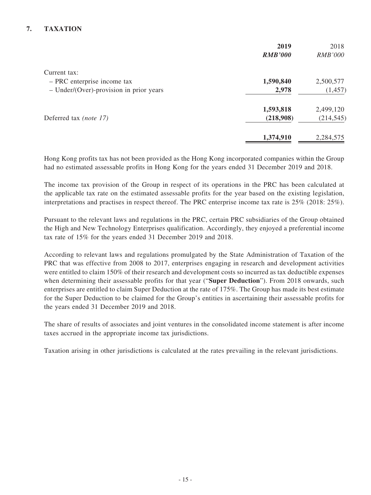# **7. TAXATION**

|                                         | 2019           | 2018           |
|-----------------------------------------|----------------|----------------|
|                                         | <b>RMB'000</b> | <i>RMB'000</i> |
| Current tax:                            |                |                |
| - PRC enterprise income tax             | 1,590,840      | 2,500,577      |
| - Under/(Over)-provision in prior years | 2,978          | (1, 457)       |
|                                         | 1,593,818      | 2,499,120      |
| Deferred tax (note 17)                  | (218,908)      | (214, 545)     |
|                                         | 1,374,910      | 2,284,575      |

Hong Kong profits tax has not been provided as the Hong Kong incorporated companies within the Group had no estimated assessable profits in Hong Kong for the years ended 31 December 2019 and 2018.

The income tax provision of the Group in respect of its operations in the PRC has been calculated at the applicable tax rate on the estimated assessable profits for the year based on the existing legislation, interpretations and practises in respect thereof. The PRC enterprise income tax rate is 25% (2018: 25%).

Pursuant to the relevant laws and regulations in the PRC, certain PRC subsidiaries of the Group obtained the High and New Technology Enterprises qualification. Accordingly, they enjoyed a preferential income tax rate of 15% for the years ended 31 December 2019 and 2018.

According to relevant laws and regulations promulgated by the State Administration of Taxation of the PRC that was effective from 2008 to 2017, enterprises engaging in research and development activities were entitled to claim 150% of their research and development costs so incurred as tax deductible expenses when determining their assessable profits for that year ("**Super Deduction**"). From 2018 onwards, such enterprises are entitled to claim Super Deduction at the rate of 175%. The Group has made its best estimate for the Super Deduction to be claimed for the Group's entities in ascertaining their assessable profits for the years ended 31 December 2019 and 2018.

The share of results of associates and joint ventures in the consolidated income statement is after income taxes accrued in the appropriate income tax jurisdictions.

Taxation arising in other jurisdictions is calculated at the rates prevailing in the relevant jurisdictions.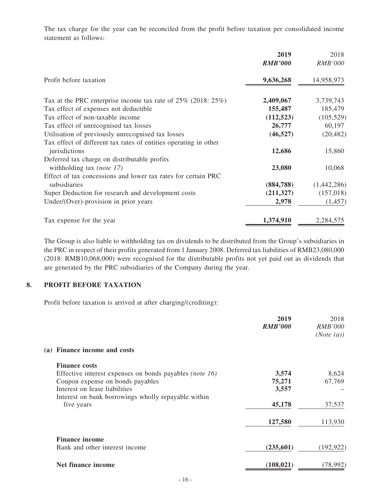The tax charge for the year can be reconciled from the profit before taxation per consolidated income statement as follows:

|                                                                                   | 2019<br><b>RMB'000</b> | 2018<br><b>RMB'000</b> |
|-----------------------------------------------------------------------------------|------------------------|------------------------|
| Profit before taxation                                                            | 9,636,268              | 14,958,973             |
| Tax at the PRC enterprise income tax rate of 25% (2018: 25%)                      | 2,409,067              | 3,739,743              |
| Tax effect of expenses not deductible                                             | 155,487                | 185,479                |
| Tax effect of non-taxable income                                                  | (112, 523)             | (105, 529)             |
| Tax effect of unrecognised tax losses                                             | 26,777                 | 60,197                 |
| Utilisation of previously unrecognised tax losses                                 | (46, 527)              | (20, 482)              |
| Tax effect of different tax rates of entities operating in other<br>jurisdictions | 12,686                 | 15,860                 |
| Deferred tax charge on distributable profits<br>withholding tax (note $17$ )      | 23,080                 | 10,068                 |
| Effect of tax concessions and lower tax rates for certain PRC<br>subsidiaries     | (884,788)              | (1,442,286)            |
| Super Deduction for research and development costs                                | (211, 327)             | (157, 018)             |
| Under/(Over)-provision in prior years                                             | 2,978                  | (1, 457)               |
| Tax expense for the year                                                          | 1,374,910              | 2,284,575              |

The Group is also liable to withholding tax on dividends to be distributed from the Group's subsidiaries in the PRC in respect of their profits generated from 1 January 2008. Deferred tax liabilities of RMB23,080,000 (2018: RMB10,068,000) were recognised for the distributable profits not yet paid out as dividends that are generated by the PRC subsidiaries of the Company during the year.

## **8. PROFIT BEFORE TAXATION**

Profit before taxation is arrived at after charging/(crediting):

|                                                         | 2019<br><b>RMB'000</b> | 2018<br><i>RMB'000</i><br>(Note (a)) |
|---------------------------------------------------------|------------------------|--------------------------------------|
| (a) Finance income and costs                            |                        |                                      |
| <b>Finance costs</b>                                    |                        |                                      |
| Effective interest expenses on bonds payables (note 16) | 3,574                  | 8,624                                |
| Coupon expense on bonds payables                        | 75,271                 | 67,769                               |
| Interest on lease liabilities                           | 3,557                  |                                      |
| Interest on bank borrowings wholly repayable within     |                        |                                      |
| five years                                              | 45,178                 | 37,537                               |
|                                                         | 127,580                | 113,930                              |
| <b>Finance income</b>                                   |                        |                                      |
| Bank and other interest income                          | (235, 601)             | (192, 922)                           |
| Net finance income                                      | (108, 021)             | (78,992)                             |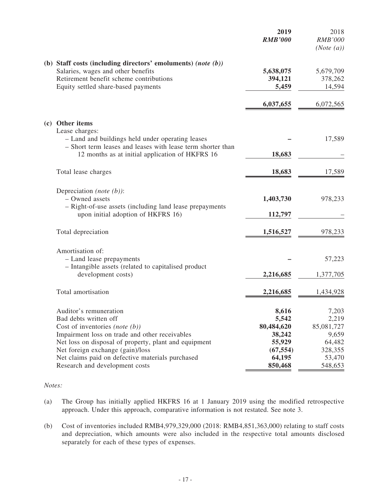|                                                                                                                                                                                                                                                                                                                           |                                                             | 2019<br><b>RMB'000</b>                                                             | 2018<br><b>RMB'000</b><br>(Note (a))                                            |
|---------------------------------------------------------------------------------------------------------------------------------------------------------------------------------------------------------------------------------------------------------------------------------------------------------------------------|-------------------------------------------------------------|------------------------------------------------------------------------------------|---------------------------------------------------------------------------------|
| (b) Staff costs (including directors' emoluments) (note (b))<br>Salaries, wages and other benefits<br>Retirement benefit scheme contributions<br>Equity settled share-based payments                                                                                                                                      |                                                             | 5,638,075<br>394,121<br>5,459                                                      | 5,679,709<br>378,262<br>14,594                                                  |
|                                                                                                                                                                                                                                                                                                                           |                                                             | 6,037,655                                                                          | 6,072,565                                                                       |
| (c) Other items<br>Lease charges:<br>- Land and buildings held under operating leases<br>12 months as at initial application of HKFRS 16                                                                                                                                                                                  | - Short term leases and leases with lease term shorter than | 18,683                                                                             | 17,589                                                                          |
| Total lease charges                                                                                                                                                                                                                                                                                                       |                                                             | 18,683                                                                             | 17,589                                                                          |
| Depreciation ( <i>note</i> $(b)$ ):<br>- Owned assets<br>- Right-of-use assets (including land lease prepayments<br>upon initial adoption of HKFRS 16)                                                                                                                                                                    |                                                             | 1,403,730<br>112,797                                                               | 978,233                                                                         |
| Total depreciation                                                                                                                                                                                                                                                                                                        |                                                             | 1,516,527                                                                          | 978,233                                                                         |
| Amortisation of:<br>- Land lease prepayments<br>- Intangible assets (related to capitalised product<br>development costs)                                                                                                                                                                                                 |                                                             | 2,216,685                                                                          | 57,223<br>1,377,705                                                             |
| Total amortisation                                                                                                                                                                                                                                                                                                        |                                                             | 2,216,685                                                                          | 1,434,928                                                                       |
| Auditor's remuneration<br>Bad debts written off<br>Cost of inventories (note $(b)$ )<br>Impairment loss on trade and other receivables<br>Net loss on disposal of property, plant and equipment<br>Net foreign exchange (gain)/loss<br>Net claims paid on defective materials purchased<br>Research and development costs |                                                             | 8,616<br>5,542<br>80,484,620<br>38,242<br>55,929<br>(67, 554)<br>64,195<br>850,468 | 7,203<br>2,219<br>85,081,727<br>9,659<br>64,482<br>328,355<br>53,470<br>548,653 |

#### *Notes:*

- (a) The Group has initially applied HKFRS 16 at 1 January 2019 using the modified retrospective approach. Under this approach, comparative information is not restated. See note 3.
- (b) Cost of inventories included RMB4,979,329,000 (2018: RMB4,851,363,000) relating to staff costs and depreciation, which amounts were also included in the respective total amounts disclosed separately for each of these types of expenses.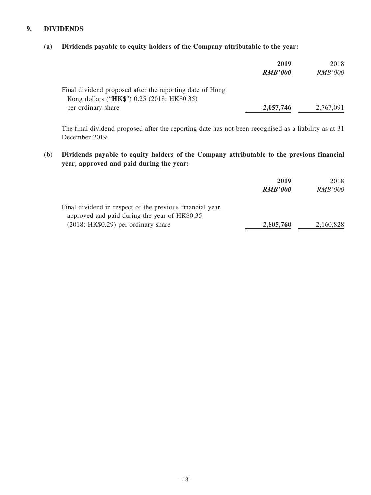# **9. DIVIDENDS**

## **(a) Dividends payable to equity holders of the Company attributable to the year:**

|                                                                                                         | 2019<br><b>RMB'000</b> | 2018<br><i>RMB'000</i> |
|---------------------------------------------------------------------------------------------------------|------------------------|------------------------|
| Final dividend proposed after the reporting date of Hong<br>Kong dollars ("HK\$") 0.25 (2018: HK\$0.35) |                        |                        |
| per ordinary share                                                                                      | 2,057,746              | 2,767,091              |

The final dividend proposed after the reporting date has not been recognised as a liability as at 31 December 2019.

**(b) Dividends payable to equity holders of the Company attributable to the previous financial year, approved and paid during the year:**

|                                                           | 2019           | 2018           |
|-----------------------------------------------------------|----------------|----------------|
|                                                           | <b>RMB'000</b> | <i>RMB'000</i> |
| Final dividend in respect of the previous financial year, |                |                |
| approved and paid during the year of HK\$0.35             |                |                |
| $(2018: HK$0.29)$ per ordinary share                      | 2,805,760      | 2,160,828      |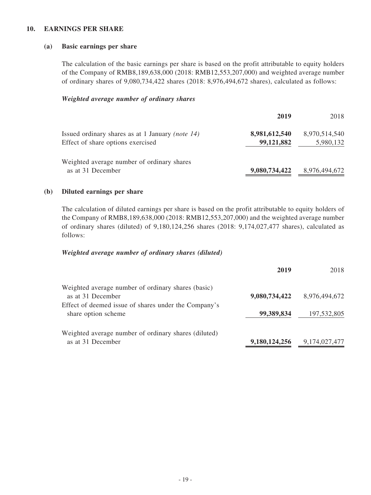### **10. EARNINGS PER SHARE**

#### **(a) Basic earnings per share**

The calculation of the basic earnings per share is based on the profit attributable to equity holders of the Company of RMB8,189,638,000 (2018: RMB12,553,207,000) and weighted average number of ordinary shares of 9,080,734,422 shares (2018: 8,976,494,672 shares), calculated as follows:

#### *Weighted average number of ordinary shares*

|                                                                                       | 2019                        | 2018                       |
|---------------------------------------------------------------------------------------|-----------------------------|----------------------------|
| Issued ordinary shares as at 1 January (note 14)<br>Effect of share options exercised | 8,981,612,540<br>99,121,882 | 8,970,514,540<br>5,980,132 |
| Weighted average number of ordinary shares<br>as at 31 December                       | 9,080,734,422               | 8,976,494,672              |

#### **(b) Diluted earnings per share**

The calculation of diluted earnings per share is based on the profit attributable to equity holders of the Company of RMB8,189,638,000 (2018: RMB12,553,207,000) and the weighted average number of ordinary shares (diluted) of 9,180,124,256 shares (2018: 9,174,027,477 shares), calculated as follows:

#### *Weighted average number of ordinary shares (diluted)*

|                                                      | 2019          | 2018          |
|------------------------------------------------------|---------------|---------------|
| Weighted average number of ordinary shares (basic)   |               |               |
| as at 31 December                                    | 9,080,734,422 | 8,976,494,672 |
| Effect of deemed issue of shares under the Company's |               |               |
| share option scheme                                  | 99,389,834    | 197,532,805   |
| Weighted average number of ordinary shares (diluted) |               |               |
| as at 31 December                                    | 9,180,124,256 | 9,174,027,477 |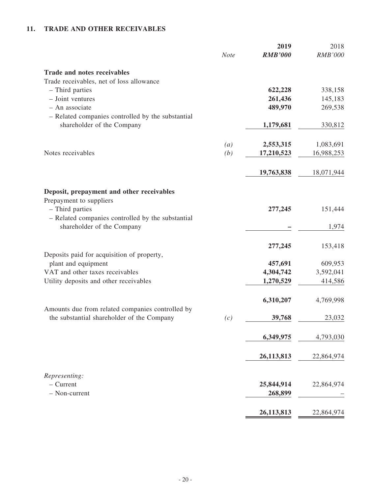# **11. TRADE AND OTHER RECEIVABLES**

|                                                                                 | <b>Note</b>       | 2019<br><b>RMB'000</b> | 2018<br><b>RMB'000</b> |
|---------------------------------------------------------------------------------|-------------------|------------------------|------------------------|
| <b>Trade and notes receivables</b>                                              |                   |                        |                        |
| Trade receivables, net of loss allowance                                        |                   |                        |                        |
| - Third parties                                                                 |                   | 622,228                | 338,158                |
| - Joint ventures                                                                |                   | 261,436                | 145,183                |
| - An associate                                                                  |                   | 489,970                | 269,538                |
| - Related companies controlled by the substantial<br>shareholder of the Company |                   | 1,179,681              | 330,812                |
|                                                                                 |                   |                        |                        |
|                                                                                 | $\left( a\right)$ | 2,553,315              | 1,083,691              |
| Notes receivables                                                               | (b)               | 17,210,523             | 16,988,253             |
|                                                                                 |                   |                        |                        |
|                                                                                 |                   | 19,763,838             | 18,071,944             |
| Deposit, prepayment and other receivables                                       |                   |                        |                        |
| Prepayment to suppliers                                                         |                   |                        |                        |
| - Third parties                                                                 |                   | 277,245                | 151,444                |
| - Related companies controlled by the substantial                               |                   |                        |                        |
| shareholder of the Company                                                      |                   |                        | 1,974                  |
|                                                                                 |                   |                        |                        |
|                                                                                 |                   | 277,245                | 153,418                |
| Deposits paid for acquisition of property,                                      |                   |                        |                        |
| plant and equipment                                                             |                   | 457,691                | 609,953                |
| VAT and other taxes receivables                                                 |                   | 4,304,742              | 3,592,041              |
| Utility deposits and other receivables                                          |                   | 1,270,529              | 414,586                |
|                                                                                 |                   | 6,310,207              | 4,769,998              |
| Amounts due from related companies controlled by                                |                   |                        |                        |
| the substantial shareholder of the Company                                      | (c)               | 39,768                 | 23,032                 |
|                                                                                 |                   | 6,349,975              | 4,793,030              |
|                                                                                 |                   |                        |                        |
|                                                                                 |                   | 26, 113, 813           | 22,864,974             |
| Representing:                                                                   |                   |                        |                        |
| $-$ Current                                                                     |                   | 25,844,914             | 22,864,974             |
| - Non-current                                                                   |                   | 268,899                |                        |
|                                                                                 |                   | 26,113,813             | 22,864,974             |
|                                                                                 |                   |                        |                        |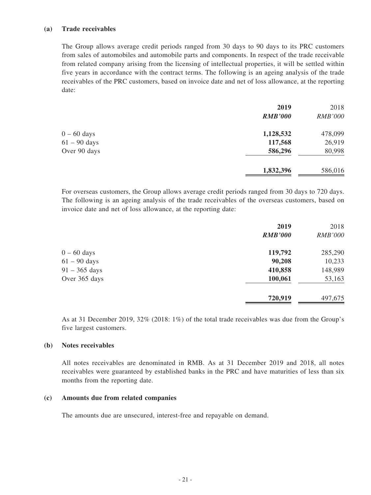#### **(a) Trade receivables**

The Group allows average credit periods ranged from 30 days to 90 days to its PRC customers from sales of automobiles and automobile parts and components. In respect of the trade receivable from related company arising from the licensing of intellectual properties, it will be settled within five years in accordance with the contract terms. The following is an ageing analysis of the trade receivables of the PRC customers, based on invoice date and net of loss allowance, at the reporting date:

|                | 2019           | 2018           |
|----------------|----------------|----------------|
|                | <b>RMB'000</b> | <b>RMB'000</b> |
| $0 - 60$ days  | 1,128,532      | 478,099        |
| $61 - 90$ days | 117,568        | 26,919         |
| Over 90 days   | 586,296        | 80,998         |
|                | 1,832,396      | 586,016        |

For overseas customers, the Group allows average credit periods ranged from 30 days to 720 days. The following is an ageing analysis of the trade receivables of the overseas customers, based on invoice date and net of loss allowance, at the reporting date:

|                         | 2019<br><b>RMB'000</b> | 2018<br><b>RMB'000</b> |
|-------------------------|------------------------|------------------------|
| $0 - 60$ days           | 119,792                | 285,290                |
| $61 - 90$ days          | 90,208                 | 10,233                 |
| $91 - 365 \text{ days}$ | 410,858                | 148,989                |
| Over 365 days           | 100,061                | 53,163                 |
|                         | 720,919                | 497,675                |

As at 31 December 2019, 32% (2018: 1%) of the total trade receivables was due from the Group's five largest customers.

### **(b) Notes receivables**

All notes receivables are denominated in RMB. As at 31 December 2019 and 2018, all notes receivables were guaranteed by established banks in the PRC and have maturities of less than six months from the reporting date.

#### **(c) Amounts due from related companies**

The amounts due are unsecured, interest-free and repayable on demand.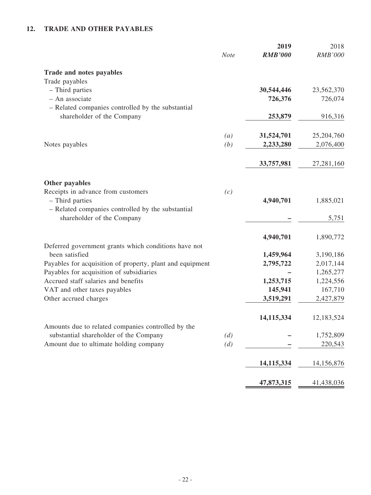# **12. TRADE AND OTHER PAYABLES**

|                                                                             | <b>Note</b>       | 2019<br><b>RMB'000</b> | 2018<br><b>RMB'000</b> |
|-----------------------------------------------------------------------------|-------------------|------------------------|------------------------|
| Trade and notes payables                                                    |                   |                        |                        |
| Trade payables                                                              |                   |                        |                        |
| - Third parties<br>- An associate                                           |                   | 30,544,446<br>726,376  | 23,562,370<br>726,074  |
| - Related companies controlled by the substantial                           |                   |                        |                        |
| shareholder of the Company                                                  |                   | 253,879                | 916,316                |
|                                                                             |                   |                        |                        |
|                                                                             | $\left( a\right)$ | 31,524,701             | 25,204,760             |
| Notes payables                                                              | (b)               | 2,233,280              | 2,076,400              |
|                                                                             |                   |                        |                        |
|                                                                             |                   | 33,757,981             | 27,281,160             |
|                                                                             |                   |                        |                        |
| Other payables<br>Receipts in advance from customers                        | (c)               |                        |                        |
| - Third parties                                                             |                   | 4,940,701              | 1,885,021              |
| - Related companies controlled by the substantial                           |                   |                        |                        |
| shareholder of the Company                                                  |                   |                        | 5,751                  |
|                                                                             |                   |                        |                        |
|                                                                             |                   | 4,940,701              | 1,890,772              |
| Deferred government grants which conditions have not                        |                   |                        |                        |
| been satisfied<br>Payables for acquisition of property, plant and equipment |                   | 1,459,964<br>2,795,722 | 3,190,186<br>2,017,144 |
| Payables for acquisition of subsidiaries                                    |                   |                        | 1,265,277              |
| Accrued staff salaries and benefits                                         |                   | 1,253,715              | 1,224,556              |
| VAT and other taxes payables                                                |                   | 145,941                | 167,710                |
| Other accrued charges                                                       |                   | 3,519,291              | 2,427,879              |
|                                                                             |                   | 14, 115, 334           |                        |
| Amounts due to related companies controlled by the                          |                   |                        | 12,183,524             |
| substantial shareholder of the Company                                      | (d)               |                        | 1,752,809              |
| Amount due to ultimate holding company                                      | (d)               |                        | 220,543                |
|                                                                             |                   |                        |                        |
|                                                                             |                   | 14,115,334             | 14,156,876             |
|                                                                             |                   | 47,873,315             | 41,438,036             |
|                                                                             |                   |                        |                        |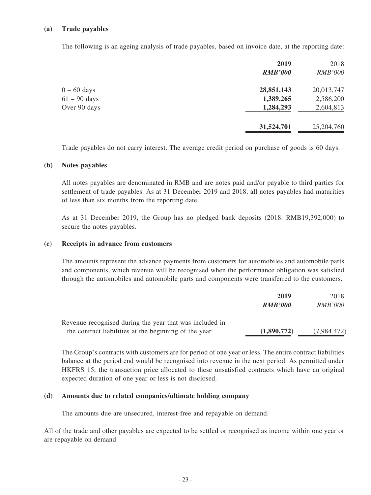#### **(a) Trade payables**

The following is an ageing analysis of trade payables, based on invoice date, at the reporting date:

| 2019           | 2018           |
|----------------|----------------|
| <b>RMB'000</b> | <b>RMB'000</b> |
| 28,851,143     | 20,013,747     |
| 1,389,265      | 2,586,200      |
| 1,284,293      | 2,604,813      |
| 31,524,701     | 25,204,760     |
|                |                |

Trade payables do not carry interest. The average credit period on purchase of goods is 60 days.

#### **(b) Notes payables**

All notes payables are denominated in RMB and are notes paid and/or payable to third parties for settlement of trade payables. As at 31 December 2019 and 2018, all notes payables had maturities of less than six months from the reporting date.

As at 31 December 2019, the Group has no pledged bank deposits (2018: RMB19,392,000) to secure the notes payables.

#### **(c) Receipts in advance from customers**

The amounts represent the advance payments from customers for automobiles and automobile parts and components, which revenue will be recognised when the performance obligation was satisfied through the automobiles and automobile parts and components were transferred to the customers.

|                                                         | 2019           | 2018           |
|---------------------------------------------------------|----------------|----------------|
|                                                         | <b>RMB'000</b> | <i>RMB'000</i> |
| Revenue recognised during the year that was included in |                |                |
| the contract liabilities at the beginning of the year   | (1,890,772)    | (7,984,472)    |

The Group's contracts with customers are for period of one year or less. The entire contract liabilities balance at the period end would be recognised into revenue in the next period. As permitted under HKFRS 15, the transaction price allocated to these unsatisfied contracts which have an original expected duration of one year or less is not disclosed.

#### **(d) Amounts due to related companies/ultimate holding company**

The amounts due are unsecured, interest-free and repayable on demand.

All of the trade and other payables are expected to be settled or recognised as income within one year or are repayable on demand.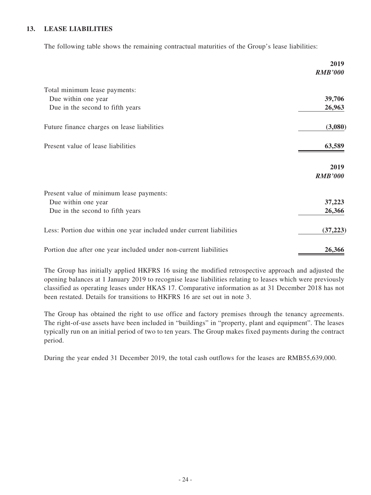## **13. LEASE LIABILITIES**

The following table shows the remaining contractual maturities of the Group's lease liabilities:

|                                                                      | 2019                   |
|----------------------------------------------------------------------|------------------------|
|                                                                      | <b>RMB'000</b>         |
| Total minimum lease payments:                                        |                        |
| Due within one year                                                  | 39,706                 |
| Due in the second to fifth years                                     | 26,963                 |
| Future finance charges on lease liabilities                          | (3,080)                |
| Present value of lease liabilities                                   | 63,589                 |
|                                                                      | 2019<br><b>RMB'000</b> |
| Present value of minimum lease payments:                             |                        |
| Due within one year                                                  | 37,223                 |
| Due in the second to fifth years                                     | 26,366                 |
| Less: Portion due within one year included under current liabilities | (37, 223)              |
| Portion due after one year included under non-current liabilities    | 26,366                 |

The Group has initially applied HKFRS 16 using the modified retrospective approach and adjusted the opening balances at 1 January 2019 to recognise lease liabilities relating to leases which were previously classified as operating leases under HKAS 17. Comparative information as at 31 December 2018 has not been restated. Details for transitions to HKFRS 16 are set out in note 3.

The Group has obtained the right to use office and factory premises through the tenancy agreements. The right-of-use assets have been included in "buildings" in "property, plant and equipment". The leases typically run on an initial period of two to ten years. The Group makes fixed payments during the contract period.

During the year ended 31 December 2019, the total cash outflows for the leases are RMB55,639,000.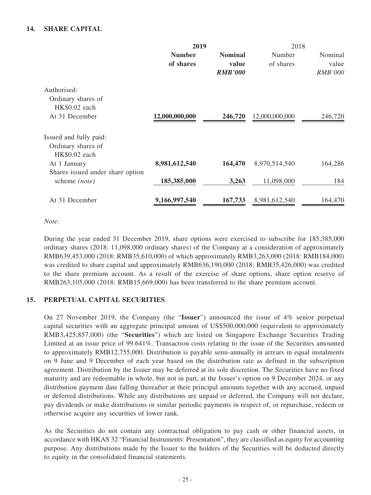## **14. SHARE CAPITAL**

|                |                | 2018            |                |
|----------------|----------------|-----------------|----------------|
| <b>Number</b>  | <b>Nominal</b> | Number          | Nominal        |
| of shares      | value          | of shares       | value          |
|                | <b>RMB'000</b> |                 | <b>RMB'000</b> |
|                |                |                 |                |
|                |                |                 |                |
|                |                |                 |                |
| 12,000,000,000 | 246,720        | 12,000,000,000  | 246,720        |
|                |                |                 |                |
|                |                |                 |                |
|                |                |                 |                |
| 8,981,612,540  | 164,470        | 8,970,514,540   | 164,286        |
|                |                |                 |                |
| 185,385,000    | 3,263          | 11,098,000      | 184            |
|                |                |                 | 164,470        |
|                | 9,166,997,540  | 2019<br>167,733 | 8,981,612,540  |

### *Note:*

During the year ended 31 December 2019, share options were exercised to subscribe for 185,385,000 ordinary shares (2018: 11,098,000 ordinary shares) of the Company at a consideration of approximately RMB639,453,000 (2018: RMB35,610,000) of which approximately RMB3,263,000 (2018: RMB184,000) was credited to share capital and approximately RMB636,190,000 (2018: RMB35,426,000) was credited to the share premium account. As a result of the exercise of share options, share option reserve of RMB263,105,000 (2018: RMB15,669,000) has been transferred to the share premium account.

## **15. PERPETUAL CAPITAL SECURITIES**

On 27 November 2019, the Company (the "**Issuer**") announced the issue of 4% senior perpetual capital securities with an aggregate principal amount of US\$500,000,000 (equivalent to approximately RMB3,425,857,000) (the "**Securities**") which are listed on Singapore Exchange Securities Trading Limited at an issue price of 99.641%. Transaction costs relating to the issue of the Securities amounted to approximately RMB12,755,000. Distribution is payable semi-annually in arrears in equal instalments on 9 June and 9 December of each year based on the distribution rate as defined in the subscription agreement. Distribution by the Issuer may be deferred at its sole discretion. The Securities have no fixed maturity and are redeemable in whole, but not in part, at the Issuer's option on 9 December 2024, or any distribution payment date falling thereafter at their principal amounts together with any accrued, unpaid or deferred distributions. While any distributions are unpaid or deferred, the Company will not declare, pay dividends or make distributions or similar periodic payments in respect of, or repurchase, redeem or otherwise acquire any securities of lower rank.

As the Securities do not contain any contractual obligation to pay cash or other financial assets, in accordance with HKAS 32 "Financial Instruments: Presentation", they are classified as equity for accounting purpose. Any distributions made by the Issuer to the holders of the Securities will be deducted directly to equity in the consolidated financial statements.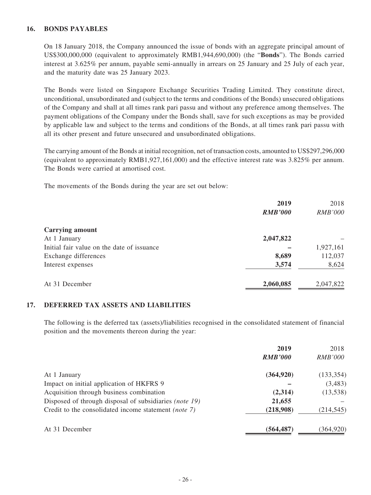### **16. BONDS PAYABLES**

On 18 January 2018, the Company announced the issue of bonds with an aggregate principal amount of US\$300,000,000 (equivalent to approximately RMB1,944,690,000) (the "**Bonds**"). The Bonds carried interest at 3.625% per annum, payable semi-annually in arrears on 25 January and 25 July of each year, and the maturity date was 25 January 2023.

The Bonds were listed on Singapore Exchange Securities Trading Limited. They constitute direct, unconditional, unsubordinated and (subject to the terms and conditions of the Bonds) unsecured obligations of the Company and shall at all times rank pari passu and without any preference among themselves. The payment obligations of the Company under the Bonds shall, save for such exceptions as may be provided by applicable law and subject to the terms and conditions of the Bonds, at all times rank pari passu with all its other present and future unsecured and unsubordinated obligations.

The carrying amount of the Bonds at initial recognition, net of transaction costs, amounted to US\$297,296,000 (equivalent to approximately RMB1,927,161,000) and the effective interest rate was 3.825% per annum. The Bonds were carried at amortised cost.

The movements of the Bonds during the year are set out below:

|                                            | 2019           | 2018           |
|--------------------------------------------|----------------|----------------|
|                                            | <b>RMB'000</b> | <b>RMB'000</b> |
| <b>Carrying amount</b>                     |                |                |
| At 1 January                               | 2,047,822      |                |
| Initial fair value on the date of issuance |                | 1,927,161      |
| Exchange differences                       | 8,689          | 112,037        |
| Interest expenses                          | 3,574          | 8,624          |
| At 31 December                             | 2,060,085      | 2,047,822      |

#### **17. DEFERRED TAX ASSETS AND LIABILITIES**

The following is the deferred tax (assets)/liabilities recognised in the consolidated statement of financial position and the movements thereon during the year:

|                                                        | 2019           | 2018           |
|--------------------------------------------------------|----------------|----------------|
|                                                        | <b>RMB'000</b> | <i>RMB'000</i> |
| At 1 January                                           | (364, 920)     | (133, 354)     |
| Impact on initial application of HKFRS 9               |                | (3,483)        |
| Acquisition through business combination               | (2,314)        | (13,538)       |
| Disposed of through disposal of subsidiaries (note 19) | 21,655         |                |
| Credit to the consolidated income statement (note 7)   | (218,908)      | (214, 545)     |
| At 31 December                                         | (564, 487)     | (364, 920)     |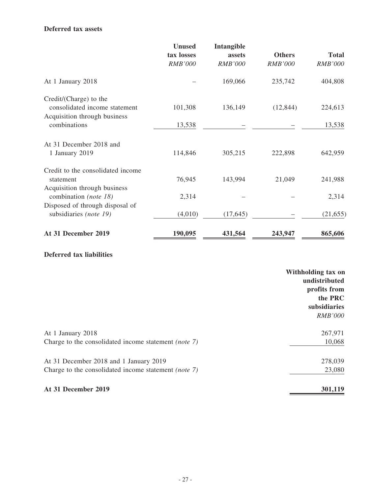### **Deferred tax assets**

|                                   | <b>Unused</b>  | Intangible     |                |                |
|-----------------------------------|----------------|----------------|----------------|----------------|
|                                   | tax losses     | assets         | <b>Others</b>  | <b>Total</b>   |
|                                   | <b>RMB'000</b> | <b>RMB'000</b> | <b>RMB'000</b> | <b>RMB'000</b> |
| At 1 January 2018                 |                | 169,066        | 235,742        | 404,808        |
| Credit/(Charge) to the            |                |                |                |                |
| consolidated income statement     | 101,308        | 136,149        | (12, 844)      | 224,613        |
| Acquisition through business      |                |                |                |                |
| combinations                      | 13,538         |                |                | 13,538         |
| At 31 December 2018 and           |                |                |                |                |
| 1 January 2019                    | 114,846        | 305,215        | 222,898        | 642,959        |
| Credit to the consolidated income |                |                |                |                |
| statement                         | 76,945         | 143,994        | 21,049         | 241,988        |
| Acquisition through business      |                |                |                |                |
| combination (note 18)             | 2,314          |                |                | 2,314          |
| Disposed of through disposal of   |                |                |                |                |
| subsidiaries (note 19)            | (4,010)        | (17, 645)      |                | (21, 655)      |
| At 31 December 2019               | 190,095        | 431,564        | 243,947        | 865,606        |

# **Deferred tax liabilities**

|                                                             | Withholding tax on<br>undistributed<br>profits from<br>the PRC<br>subsidiaries<br><i>RMB'000</i> |
|-------------------------------------------------------------|--------------------------------------------------------------------------------------------------|
| At 1 January 2018                                           | 267,971                                                                                          |
| Charge to the consolidated income statement <i>(note 7)</i> | 10,068                                                                                           |
| At 31 December 2018 and 1 January 2019                      | 278,039                                                                                          |
| Charge to the consolidated income statement (note 7)        | 23,080                                                                                           |
| At 31 December 2019                                         | 301,119                                                                                          |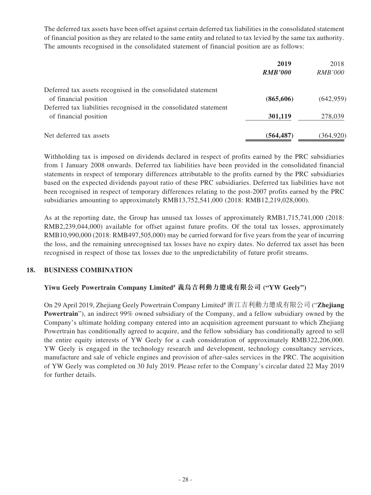The deferred tax assets have been offset against certain deferred tax liabilities in the consolidated statement of financial position as they are related to the same entity and related to tax levied by the same tax authority. The amounts recognised in the consolidated statement of financial position are as follows:

|                                                                   | 2019           | 2018           |
|-------------------------------------------------------------------|----------------|----------------|
|                                                                   | <b>RMB'000</b> | <i>RMB'000</i> |
| Deferred tax assets recognised in the consolidated statement      |                |                |
| of financial position                                             | (865,606)      | (642, 959)     |
| Deferred tax liabilities recognised in the consolidated statement |                |                |
| of financial position                                             | 301,119        | 278,039        |
| Net deferred tax assets                                           | (564, 487)     | (364, 920)     |

Withholding tax is imposed on dividends declared in respect of profits earned by the PRC subsidiaries from 1 January 2008 onwards. Deferred tax liabilities have been provided in the consolidated financial statements in respect of temporary differences attributable to the profits earned by the PRC subsidiaries based on the expected dividends payout ratio of these PRC subsidiaries. Deferred tax liabilities have not been recognised in respect of temporary differences relating to the post-2007 profits earned by the PRC subsidiaries amounting to approximately RMB13,752,541,000 (2018: RMB12,219,028,000).

As at the reporting date, the Group has unused tax losses of approximately RMB1,715,741,000 (2018: RMB2,239,044,000) available for offset against future profits. Of the total tax losses, approximately RMB10,990,000 (2018: RMB497,505,000) may be carried forward for five years from the year of incurring the loss, and the remaining unrecognised tax losses have no expiry dates. No deferred tax asset has been recognised in respect of those tax losses due to the unpredictability of future profit streams.

## **18. BUSINESS COMBINATION**

## **Yiwu Geely Powertrain Company Limited# 義烏吉利動力總成有限公司 ("YW Geely")**

On 29 April 2019, Zhejiang Geely Powertrain Company Limited# 浙江吉利動力總成有限公司 ("**Zhejiang Powertrain**"), an indirect 99% owned subsidiary of the Company, and a fellow subsidiary owned by the Company's ultimate holding company entered into an acquisition agreement pursuant to which Zhejiang Powertrain has conditionally agreed to acquire, and the fellow subsidiary has conditionally agreed to sell the entire equity interests of YW Geely for a cash consideration of approximately RMB322,206,000. YW Geely is engaged in the technology research and development, technology consultancy services, manufacture and sale of vehicle engines and provision of after-sales services in the PRC. The acquisition of YW Geely was completed on 30 July 2019. Please refer to the Company's circular dated 22 May 2019 for further details.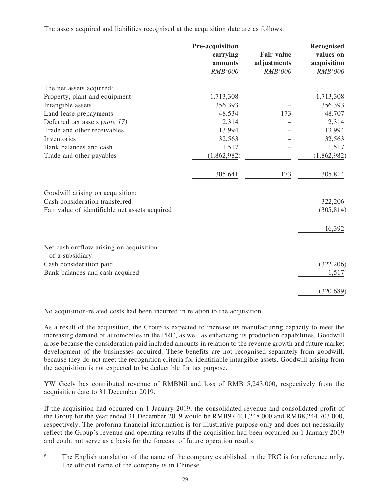The assets acquired and liabilities recognised at the acquisition date are as follows:

|                                                             | Pre-acquisition<br>carrying<br>amounts<br><b>RMB'000</b> | <b>Fair value</b><br>adjustments<br><b>RMB'000</b> | Recognised<br>values on<br>acquisition<br><b>RMB'000</b> |
|-------------------------------------------------------------|----------------------------------------------------------|----------------------------------------------------|----------------------------------------------------------|
| The net assets acquired:                                    |                                                          |                                                    |                                                          |
| Property, plant and equipment                               | 1,713,308                                                |                                                    | 1,713,308                                                |
| Intangible assets                                           | 356,393                                                  |                                                    | 356,393                                                  |
| Land lease prepayments                                      | 48,534                                                   | 173                                                | 48,707                                                   |
| Deferred tax assets (note 17)                               | 2,314                                                    |                                                    | 2,314                                                    |
| Trade and other receivables                                 | 13,994                                                   |                                                    | 13,994                                                   |
| Inventories                                                 | 32,563                                                   |                                                    | 32,563                                                   |
| Bank balances and cash                                      | 1,517                                                    |                                                    | 1,517                                                    |
| Trade and other payables                                    | (1,862,982)                                              |                                                    | (1,862,982)                                              |
|                                                             | 305,641                                                  | 173                                                | 305,814                                                  |
| Goodwill arising on acquisition:                            |                                                          |                                                    |                                                          |
| Cash consideration transferred                              |                                                          |                                                    | 322,206                                                  |
| Fair value of identifiable net assets acquired              |                                                          |                                                    | (305, 814)                                               |
|                                                             |                                                          |                                                    | 16,392                                                   |
| Net cash outflow arising on acquisition<br>of a subsidiary: |                                                          |                                                    |                                                          |
| Cash consideration paid                                     |                                                          |                                                    | (322, 206)                                               |
| Bank balances and cash acquired                             |                                                          |                                                    | 1,517                                                    |
|                                                             |                                                          |                                                    | (320, 689)                                               |

No acquisition-related costs had been incurred in relation to the acquisition.

As a result of the acquisition, the Group is expected to increase its manufacturing capacity to meet the increasing demand of automobiles in the PRC, as well as enhancing its production capabilities. Goodwill arose because the consideration paid included amounts in relation to the revenue growth and future market development of the businesses acquired. These benefits are not recognised separately from goodwill, because they do not meet the recognition criteria for identifiable intangible assets. Goodwill arising from the acquisition is not expected to be deductible for tax purpose.

YW Geely has contributed revenue of RMBNil and loss of RMB15,243,000, respectively from the acquisition date to 31 December 2019.

If the acquisition had occurred on 1 January 2019, the consolidated revenue and consolidated profit of the Group for the year ended 31 December 2019 would be RMB97,401,248,000 and RMB8,244,703,000, respectively. The proforma financial information is for illustrative purpose only and does not necessarily reflect the Group's revenue and operating results if the acquisition had been occurred on 1 January 2019 and could not serve as a basis for the forecast of future operation results.

The English translation of the name of the company established in the PRC is for reference only. The official name of the company is in Chinese.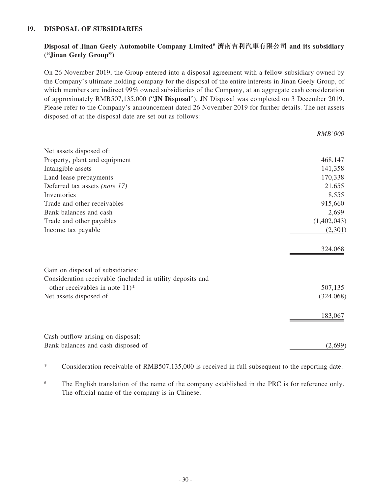### **19. DISPOSAL OF SUBSIDIARIES**

## **Disposal of Jinan Geely Automobile Company Limited# 濟南吉利汽車有限公司 and its subsidiary ("Jinan Geely Group")**

On 26 November 2019, the Group entered into a disposal agreement with a fellow subsidiary owned by the Company's ultimate holding company for the disposal of the entire interests in Jinan Geely Group, of which members are indirect 99% owned subsidiaries of the Company, at an aggregate cash consideration of approximately RMB507,135,000 ("**JN Disposal**"). JN Disposal was completed on 3 December 2019. Please refer to the Company's announcement dated 26 November 2019 for further details. The net assets disposed of at the disposal date are set out as follows:

|                                                            | <b>RMB'000</b> |
|------------------------------------------------------------|----------------|
| Net assets disposed of:                                    |                |
| Property, plant and equipment                              | 468,147        |
| Intangible assets                                          | 141,358        |
| Land lease prepayments                                     | 170,338        |
| Deferred tax assets (note 17)                              | 21,655         |
| Inventories                                                | 8,555          |
| Trade and other receivables                                | 915,660        |
| Bank balances and cash                                     | 2,699          |
| Trade and other payables                                   | (1,402,043)    |
| Income tax payable                                         | (2,301)        |
|                                                            | 324,068        |
| Gain on disposal of subsidiaries:                          |                |
| Consideration receivable (included in utility deposits and |                |
| other receivables in note $11$ <sup>*</sup>                | 507,135        |
| Net assets disposed of                                     | (324,068)      |
|                                                            | 183,067        |
| Cash outflow arising on disposal:                          |                |
| Bank balances and cash disposed of                         | (2,699)        |

\* Consideration receivable of RMB507,135,000 is received in full subsequent to the reporting date.

# The English translation of the name of the company established in the PRC is for reference only. The official name of the company is in Chinese.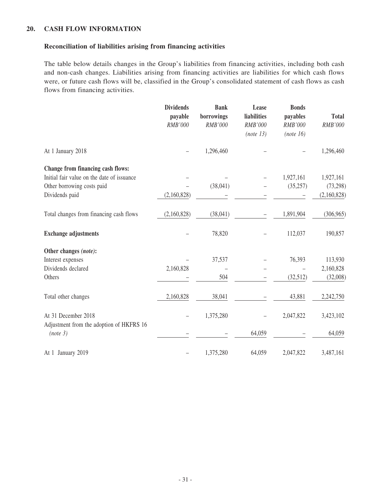### **20. CASH FLOW INFORMATION**

#### **Reconciliation of liabilities arising from financing activities**

The table below details changes in the Group's liabilities from financing activities, including both cash and non-cash changes. Liabilities arising from financing activities are liabilities for which cash flows were, or future cash flows will be, classified in the Group's consolidated statement of cash flows as cash flows from financing activities.

|                                                      | <b>Dividends</b><br>payable<br>RMB'000 | <b>Bank</b><br>borrowings<br>RMB'000 | Lease<br>liabilities<br>RMB'000<br>(note 13) | <b>Bonds</b><br>payables<br>RMB'000<br>(note 16) | <b>Total</b><br>RMB'000 |
|------------------------------------------------------|----------------------------------------|--------------------------------------|----------------------------------------------|--------------------------------------------------|-------------------------|
| At 1 January 2018                                    |                                        | 1,296,460                            |                                              |                                                  | 1,296,460               |
| Change from financing cash flows:                    |                                        |                                      |                                              |                                                  |                         |
| Initial fair value on the date of issuance           |                                        |                                      |                                              | 1,927,161                                        | 1,927,161               |
| Other borrowing costs paid                           |                                        | (38,041)                             |                                              | (35, 257)                                        | (73, 298)               |
| Dividends paid                                       | (2,160,828)                            |                                      |                                              |                                                  | (2,160,828)             |
| Total changes from financing cash flows              | (2,160,828)                            | (38,041)                             |                                              | 1,891,904                                        | (306, 965)              |
| <b>Exchange adjustments</b>                          |                                        | 78,820                               |                                              | 112,037                                          | 190,857                 |
| Other changes (note):                                |                                        |                                      |                                              |                                                  |                         |
| Interest expenses                                    |                                        | 37,537                               |                                              | 76,393                                           | 113,930                 |
| Dividends declared                                   | 2,160,828                              |                                      |                                              |                                                  | 2,160,828               |
| Others                                               |                                        | 504                                  |                                              | (32,512)                                         | (32,008)                |
| Total other changes                                  | 2,160,828                              | 38,041                               |                                              | 43,881                                           | 2,242,750               |
| At 31 December 2018                                  |                                        | 1,375,280                            |                                              | 2,047,822                                        | 3,423,102               |
| Adjustment from the adoption of HKFRS 16<br>(note 3) |                                        |                                      | 64,059                                       |                                                  | 64,059                  |
| At 1 January 2019                                    |                                        | 1,375,280                            | 64,059                                       | 2,047,822                                        | 3,487,161               |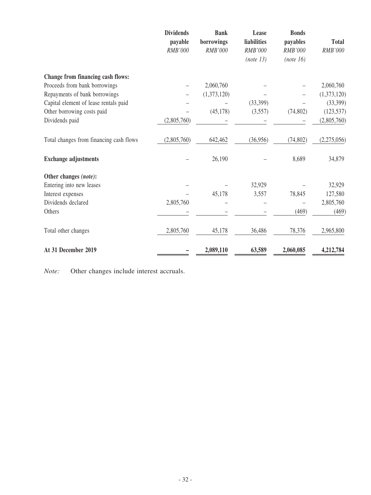|                                         | <b>Dividends</b><br>payable<br>RMB'000 | <b>Bank</b><br>borrowings<br>RMB'000 | Lease<br>liabilities<br>RMB'000<br>(note 13) | <b>Bonds</b><br>payables<br>RMB'000<br>(note 16) | <b>Total</b><br>RMB'000 |
|-----------------------------------------|----------------------------------------|--------------------------------------|----------------------------------------------|--------------------------------------------------|-------------------------|
| Change from financing cash flows:       |                                        |                                      |                                              |                                                  |                         |
| Proceeds from bank borrowings           |                                        | 2,060,760                            |                                              |                                                  | 2,060,760               |
| Repayments of bank borrowings           |                                        | (1,373,120)                          |                                              |                                                  | (1,373,120)             |
| Capital element of lease rentals paid   |                                        |                                      | (33,399)                                     |                                                  | (33,399)                |
| Other borrowing costs paid              |                                        | (45, 178)                            | (3,557)                                      | (74, 802)                                        | (123, 537)              |
| Dividends paid                          | (2,805,760)                            |                                      |                                              |                                                  | (2,805,760)             |
| Total changes from financing cash flows | (2,805,760)                            | 642,462                              | (36,956)                                     | (74, 802)                                        | (2,275,056)             |
| <b>Exchange adjustments</b>             |                                        | 26,190                               |                                              | 8,689                                            | 34,879                  |
| Other changes (note):                   |                                        |                                      |                                              |                                                  |                         |
| Entering into new leases                |                                        |                                      | 32,929                                       |                                                  | 32,929                  |
| Interest expenses                       |                                        | 45,178                               | 3,557                                        | 78,845                                           | 127,580                 |
| Dividends declared                      | 2,805,760                              |                                      |                                              |                                                  | 2,805,760               |
| Others                                  |                                        |                                      |                                              | (469)                                            | (469)                   |
| Total other changes                     | 2,805,760                              | 45,178                               | 36,486                                       | 78,376                                           | 2,965,800               |
| At 31 December 2019                     |                                        | 2,089,110                            | 63,589                                       | 2,060,085                                        | 4,212,784               |

*Note:* Other changes include interest accruals.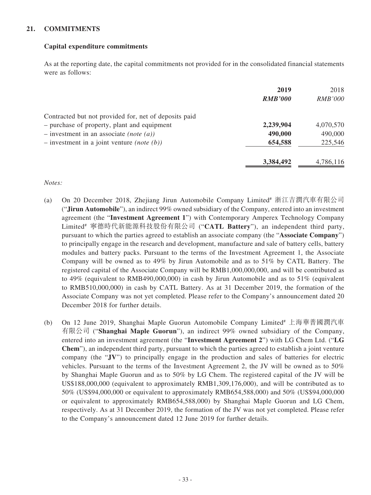## **21. COMMITMENTS**

## **Capital expenditure commitments**

As at the reporting date, the capital commitments not provided for in the consolidated financial statements were as follows:

|                                                       | 2019<br><b>RMB'000</b> | 2018<br><i>RMB'000</i> |
|-------------------------------------------------------|------------------------|------------------------|
| Contracted but not provided for, net of deposits paid |                        |                        |
| - purchase of property, plant and equipment           | 2,239,904              | 4,070,570              |
| $-$ investment in an associate (note (a))             | 490,000                | 490,000                |
| $-$ investment in a joint venture <i>(note (b))</i>   | 654,588                | 225,546                |
|                                                       | 3,384,492              | 4,786,116              |

#### *Notes:*

- (a) On 20 December 2018, Zhejiang Jirun Automobile Company Limited# 浙江吉潤汽車有限公司 ("**Jirun Automobile**"), an indirect 99% owned subsidiary of the Company, entered into an investment agreement (the "**Investment Agreement 1**") with Contemporary Amperex Technology Company Limited# 寧德時代新能源科技股份有限公司 ("**CATL Battery**"), an independent third party, pursuant to which the parties agreed to establish an associate company (the "**Associate Company**") to principally engage in the research and development, manufacture and sale of battery cells, battery modules and battery packs. Pursuant to the terms of the Investment Agreement 1, the Associate Company will be owned as to 49% by Jirun Automobile and as to 51% by CATL Battery. The registered capital of the Associate Company will be RMB1,000,000,000, and will be contributed as to 49% (equivalent to RMB490,000,000) in cash by Jirun Automobile and as to 51% (equivalent to RMB510,000,000) in cash by CATL Battery. As at 31 December 2019, the formation of the Associate Company was not yet completed. Please refer to the Company's announcement dated 20 December 2018 for further details.
- (b) On 12 June 2019, Shanghai Maple Guorun Automobile Company Limited# 上海華普國潤汽車 有限公司 ("**Shanghai Maple Guorun**"), an indirect 99% owned subsidiary of the Company, entered into an investment agreement (the "**Investment Agreement 2**") with LG Chem Ltd. ("**LG Chem**"), an independent third party, pursuant to which the parties agreed to establish a joint venture company (the "**JV**") to principally engage in the production and sales of batteries for electric vehicles. Pursuant to the terms of the Investment Agreement 2, the JV will be owned as to 50% by Shanghai Maple Guorun and as to 50% by LG Chem. The registered capital of the JV will be US\$188,000,000 (equivalent to approximately RMB1,309,176,000), and will be contributed as to 50% (US\$94,000,000 or equivalent to approximately RMB654,588,000) and 50% (US\$94,000,000 or equivalent to approximately RMB654,588,000) by Shanghai Maple Guorun and LG Chem, respectively. As at 31 December 2019, the formation of the JV was not yet completed. Please refer to the Company's announcement dated 12 June 2019 for further details.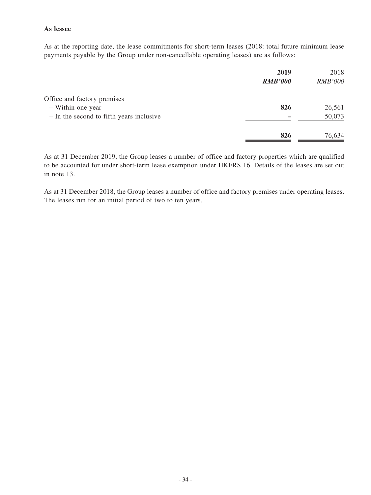## **As lessee**

As at the reporting date, the lease commitments for short-term leases (2018: total future minimum lease payments payable by the Group under non-cancellable operating leases) are as follows:

|                                          | 2019<br><b>RMB'000</b> | 2018<br><b>RMB'000</b> |
|------------------------------------------|------------------------|------------------------|
| Office and factory premises              |                        |                        |
| - Within one year                        | 826                    | 26,561                 |
| - In the second to fifth years inclusive |                        | 50,073                 |
|                                          | 826                    | 76,634                 |

As at 31 December 2019, the Group leases a number of office and factory properties which are qualified to be accounted for under short-term lease exemption under HKFRS 16. Details of the leases are set out in note 13.

As at 31 December 2018, the Group leases a number of office and factory premises under operating leases. The leases run for an initial period of two to ten years.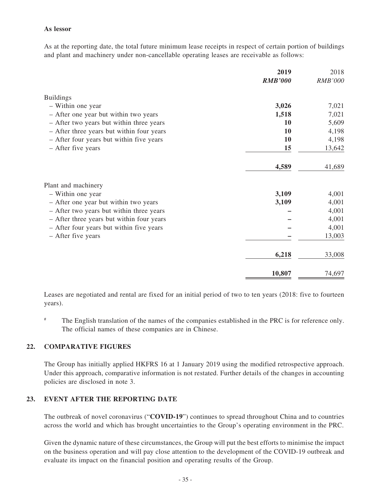### **As lessor**

As at the reporting date, the total future minimum lease receipts in respect of certain portion of buildings and plant and machinery under non-cancellable operating leases are receivable as follows:

|                                           | 2019<br><b>RMB'000</b> | 2018<br><b>RMB'000</b> |
|-------------------------------------------|------------------------|------------------------|
|                                           |                        |                        |
| <b>Buildings</b>                          |                        |                        |
| - Within one year                         | 3,026                  | 7,021                  |
| - After one year but within two years     | 1,518                  | 7,021                  |
| - After two years but within three years  | 10                     | 5,609                  |
| - After three years but within four years | 10                     | 4,198                  |
| - After four years but within five years  | <b>10</b>              | 4,198                  |
| - After five years                        | 15                     | 13,642                 |
|                                           | 4,589                  | 41,689                 |
| Plant and machinery                       |                        |                        |
| - Within one year                         | 3,109                  | 4,001                  |
| - After one year but within two years     | 3,109                  | 4,001                  |
| - After two years but within three years  |                        | 4,001                  |
| - After three years but within four years |                        | 4,001                  |
| - After four years but within five years  |                        | 4,001                  |
| - After five years                        |                        | 13,003                 |
|                                           | 6,218                  | 33,008                 |
|                                           |                        |                        |
|                                           | 10,807                 | 74,697                 |

Leases are negotiated and rental are fixed for an initial period of two to ten years (2018: five to fourteen years).

The English translation of the names of the companies established in the PRC is for reference only. The official names of these companies are in Chinese.

## **22. COMPARATIVE FIGURES**

The Group has initially applied HKFRS 16 at 1 January 2019 using the modified retrospective approach. Under this approach, comparative information is not restated. Further details of the changes in accounting policies are disclosed in note 3.

#### **23. EVENT AFTER THE REPORTING DATE**

The outbreak of novel coronavirus ("**COVID-19**") continues to spread throughout China and to countries across the world and which has brought uncertainties to the Group's operating environment in the PRC.

Given the dynamic nature of these circumstances, the Group will put the best efforts to minimise the impact on the business operation and will pay close attention to the development of the COVID-19 outbreak and evaluate its impact on the financial position and operating results of the Group.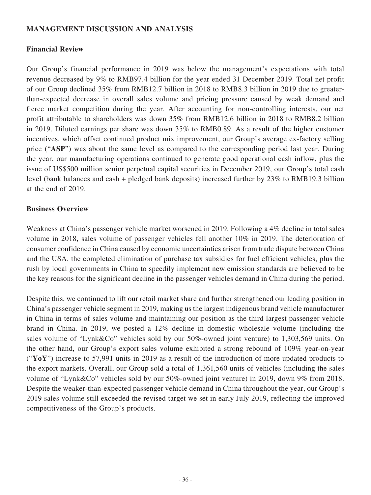## **MANAGEMENT DISCUSSION AND ANALYSIS**

## **Financial Review**

Our Group's financial performance in 2019 was below the management's expectations with total revenue decreased by 9% to RMB97.4 billion for the year ended 31 December 2019. Total net profit of our Group declined 35% from RMB12.7 billion in 2018 to RMB8.3 billion in 2019 due to greaterthan-expected decrease in overall sales volume and pricing pressure caused by weak demand and fierce market competition during the year. After accounting for non-controlling interests, our net profit attributable to shareholders was down 35% from RMB12.6 billion in 2018 to RMB8.2 billion in 2019. Diluted earnings per share was down 35% to RMB0.89. As a result of the higher customer incentives, which offset continued product mix improvement, our Group's average ex-factory selling price ("**ASP**") was about the same level as compared to the corresponding period last year. During the year, our manufacturing operations continued to generate good operational cash inflow, plus the issue of US\$500 million senior perpetual capital securities in December 2019, our Group's total cash level (bank balances and cash + pledged bank deposits) increased further by 23% to RMB19.3 billion at the end of 2019.

## **Business Overview**

Weakness at China's passenger vehicle market worsened in 2019. Following a 4% decline in total sales volume in 2018, sales volume of passenger vehicles fell another 10% in 2019. The deterioration of consumer confidence in China caused by economic uncertainties arisen from trade dispute between China and the USA, the completed elimination of purchase tax subsidies for fuel efficient vehicles, plus the rush by local governments in China to speedily implement new emission standards are believed to be the key reasons for the significant decline in the passenger vehicles demand in China during the period.

Despite this, we continued to lift our retail market share and further strengthened our leading position in China's passenger vehicle segment in 2019, making us the largest indigenous brand vehicle manufacturer in China in terms of sales volume and maintaining our position as the third largest passenger vehicle brand in China. In 2019, we posted a 12% decline in domestic wholesale volume (including the sales volume of "Lynk&Co" vehicles sold by our 50%-owned joint venture) to 1,303,569 units. On the other hand, our Group's export sales volume exhibited a strong rebound of 109% year-on-year ("**YoY**") increase to 57,991 units in 2019 as a result of the introduction of more updated products to the export markets. Overall, our Group sold a total of 1,361,560 units of vehicles (including the sales volume of "Lynk&Co" vehicles sold by our 50%-owned joint venture) in 2019, down 9% from 2018. Despite the weaker-than-expected passenger vehicle demand in China throughout the year, our Group's 2019 sales volume still exceeded the revised target we set in early July 2019, reflecting the improved competitiveness of the Group's products.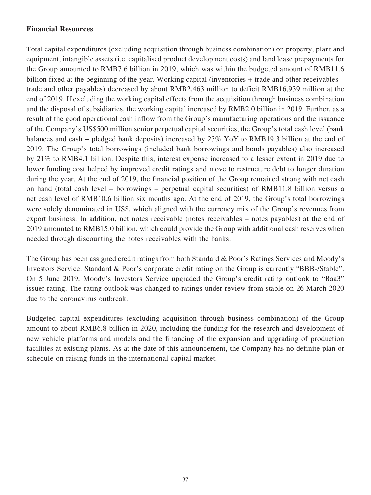# **Financial Resources**

Total capital expenditures (excluding acquisition through business combination) on property, plant and equipment, intangible assets (i.e. capitalised product development costs) and land lease prepayments for the Group amounted to RMB7.6 billion in 2019, which was within the budgeted amount of RMB11.6 billion fixed at the beginning of the year. Working capital (inventories + trade and other receivables – trade and other payables) decreased by about RMB2,463 million to deficit RMB16,939 million at the end of 2019. If excluding the working capital effects from the acquisition through business combination and the disposal of subsidiaries, the working capital increased by RMB2.0 billion in 2019. Further, as a result of the good operational cash inflow from the Group's manufacturing operations and the issuance of the Company's US\$500 million senior perpetual capital securities, the Group's total cash level (bank balances and cash + pledged bank deposits) increased by 23% YoY to RMB19.3 billion at the end of 2019. The Group's total borrowings (included bank borrowings and bonds payables) also increased by 21% to RMB4.1 billion. Despite this, interest expense increased to a lesser extent in 2019 due to lower funding cost helped by improved credit ratings and move to restructure debt to longer duration during the year. At the end of 2019, the financial position of the Group remained strong with net cash on hand (total cash level – borrowings – perpetual capital securities) of RMB11.8 billion versus a net cash level of RMB10.6 billion six months ago. At the end of 2019, the Group's total borrowings were solely denominated in US\$, which aligned with the currency mix of the Group's revenues from export business. In addition, net notes receivable (notes receivables – notes payables) at the end of 2019 amounted to RMB15.0 billion, which could provide the Group with additional cash reserves when needed through discounting the notes receivables with the banks.

The Group has been assigned credit ratings from both Standard & Poor's Ratings Services and Moody's Investors Service. Standard & Poor's corporate credit rating on the Group is currently "BBB-/Stable". On 5 June 2019, Moody's Investors Service upgraded the Group's credit rating outlook to "Baa3" issuer rating. The rating outlook was changed to ratings under review from stable on 26 March 2020 due to the coronavirus outbreak.

Budgeted capital expenditures (excluding acquisition through business combination) of the Group amount to about RMB6.8 billion in 2020, including the funding for the research and development of new vehicle platforms and models and the financing of the expansion and upgrading of production facilities at existing plants. As at the date of this announcement, the Company has no definite plan or schedule on raising funds in the international capital market.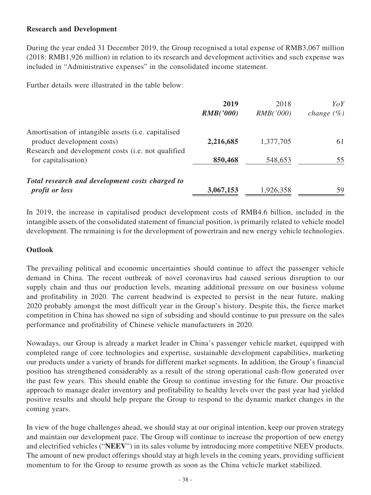# **Research and Development**

During the year ended 31 December 2019, the Group recognised a total expense of RMB3,067 million (2018: RMB1,926 million) in relation to its research and development activities and such expense was included in "Administrative expenses" in the consolidated income statement.

Further details were illustrated in the table below:

|                                                     | 2019<br>RMB('000) | 2018<br>RMB('000) | YoY<br><i>change</i> $(\%)$ |
|-----------------------------------------------------|-------------------|-------------------|-----------------------------|
| Amortisation of intangible assets (i.e. capitalised |                   |                   |                             |
| product development costs)                          | 2,216,685         | 1,377,705         | 61                          |
| Research and development costs (i.e. not qualified  |                   |                   |                             |
| for capitalisation)                                 | 850,468           | 548,653           | 55                          |
| Total research and development costs charged to     |                   |                   |                             |
| <i>profit or loss</i>                               | 3,067,153         | 1,926,358         | 59                          |

In 2019, the increase in capitalised product development costs of RMB4.6 billion, included in the intangible assets of the consolidated statement of financial position, is primarily related to vehicle model development. The remaining is for the development of powertrain and new energy vehicle technologies.

## **Outlook**

The prevailing political and economic uncertainties should continue to affect the passenger vehicle demand in China. The recent outbreak of novel coronavirus had caused serious disruption to our supply chain and thus our production levels, meaning additional pressure on our business volume and profitability in 2020. The current headwind is expected to persist in the near future, making 2020 probably amongst the most difficult year in the Group's history. Despite this, the fierce market competition in China has showed no sign of subsiding and should continue to put pressure on the sales performance and profitability of Chinese vehicle manufacturers in 2020.

Nowadays, our Group is already a market leader in China's passenger vehicle market, equipped with completed range of core technologies and expertise, sustainable development capabilities, marketing our products under a variety of brands for different market segments. In addition, the Group's financial position has strengthened considerably as a result of the strong operational cash-flow generated over the past few years. This should enable the Group to continue investing for the future. Our proactive approach to manage dealer inventory and profitability to healthy levels over the past year had yielded positive results and should help prepare the Group to respond to the dynamic market changes in the coming years.

In view of the huge challenges ahead, we should stay at our original intention, keep our proven strategy and maintain our development pace. The Group will continue to increase the proportion of new energy and electrified vehicles ("**NEEV**") in its sales volume by introducing more competitive NEEV products. The amount of new product offerings should stay at high levels in the coming years, providing sufficient momentum to for the Group to resume growth as soon as the China vehicle market stabilized.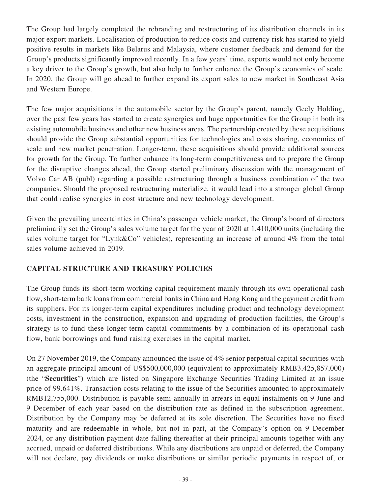The Group had largely completed the rebranding and restructuring of its distribution channels in its major export markets. Localisation of production to reduce costs and currency risk has started to yield positive results in markets like Belarus and Malaysia, where customer feedback and demand for the Group's products significantly improved recently. In a few years' time, exports would not only become a key driver to the Group's growth, but also help to further enhance the Group's economies of scale. In 2020, the Group will go ahead to further expand its export sales to new market in Southeast Asia and Western Europe.

The few major acquisitions in the automobile sector by the Group's parent, namely Geely Holding, over the past few years has started to create synergies and huge opportunities for the Group in both its existing automobile business and other new business areas. The partnership created by these acquisitions should provide the Group substantial opportunities for technologies and costs sharing, economies of scale and new market penetration. Longer-term, these acquisitions should provide additional sources for growth for the Group. To further enhance its long-term competitiveness and to prepare the Group for the disruptive changes ahead, the Group started preliminary discussion with the management of Volvo Car AB (publ) regarding a possible restructuring through a business combination of the two companies. Should the proposed restructuring materialize, it would lead into a stronger global Group that could realise synergies in cost structure and new technology development.

Given the prevailing uncertainties in China's passenger vehicle market, the Group's board of directors preliminarily set the Group's sales volume target for the year of 2020 at 1,410,000 units (including the sales volume target for "Lynk&Co" vehicles), representing an increase of around 4% from the total sales volume achieved in 2019.

# **CAPITAL STRUCTURE AND TREASURY POLICIES**

The Group funds its short-term working capital requirement mainly through its own operational cash flow, short-term bank loans from commercial banks in China and Hong Kong and the payment credit from its suppliers. For its longer-term capital expenditures including product and technology development costs, investment in the construction, expansion and upgrading of production facilities, the Group's strategy is to fund these longer-term capital commitments by a combination of its operational cash flow, bank borrowings and fund raising exercises in the capital market.

On 27 November 2019, the Company announced the issue of 4% senior perpetual capital securities with an aggregate principal amount of US\$500,000,000 (equivalent to approximately RMB3,425,857,000) (the "**Securities**") which are listed on Singapore Exchange Securities Trading Limited at an issue price of 99.641%. Transaction costs relating to the issue of the Securities amounted to approximately RMB12,755,000. Distribution is payable semi-annually in arrears in equal instalments on 9 June and 9 December of each year based on the distribution rate as defined in the subscription agreement. Distribution by the Company may be deferred at its sole discretion. The Securities have no fixed maturity and are redeemable in whole, but not in part, at the Company's option on 9 December 2024, or any distribution payment date falling thereafter at their principal amounts together with any accrued, unpaid or deferred distributions. While any distributions are unpaid or deferred, the Company will not declare, pay dividends or make distributions or similar periodic payments in respect of, or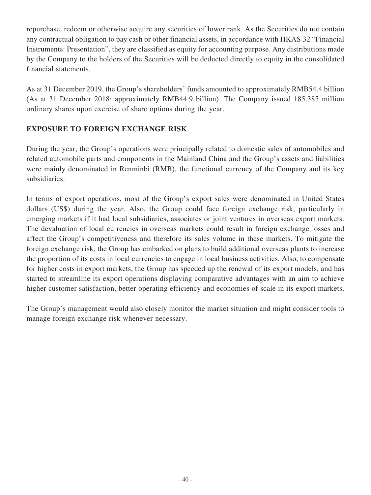repurchase, redeem or otherwise acquire any securities of lower rank. As the Securities do not contain any contractual obligation to pay cash or other financial assets, in accordance with HKAS 32 "Financial Instruments: Presentation", they are classified as equity for accounting purpose. Any distributions made by the Company to the holders of the Securities will be deducted directly to equity in the consolidated financial statements.

As at 31 December 2019, the Group's shareholders' funds amounted to approximately RMB54.4 billion (As at 31 December 2018: approximately RMB44.9 billion). The Company issued 185.385 million ordinary shares upon exercise of share options during the year.

# **EXPOSURE TO FOREIGN EXCHANGE RISK**

During the year, the Group's operations were principally related to domestic sales of automobiles and related automobile parts and components in the Mainland China and the Group's assets and liabilities were mainly denominated in Renminbi (RMB), the functional currency of the Company and its key subsidiaries.

In terms of export operations, most of the Group's export sales were denominated in United States dollars (US\$) during the year. Also, the Group could face foreign exchange risk, particularly in emerging markets if it had local subsidiaries, associates or joint ventures in overseas export markets. The devaluation of local currencies in overseas markets could result in foreign exchange losses and affect the Group's competitiveness and therefore its sales volume in these markets. To mitigate the foreign exchange risk, the Group has embarked on plans to build additional overseas plants to increase the proportion of its costs in local currencies to engage in local business activities. Also, to compensate for higher costs in export markets, the Group has speeded up the renewal of its export models, and has started to streamline its export operations displaying comparative advantages with an aim to achieve higher customer satisfaction, better operating efficiency and economies of scale in its export markets.

The Group's management would also closely monitor the market situation and might consider tools to manage foreign exchange risk whenever necessary.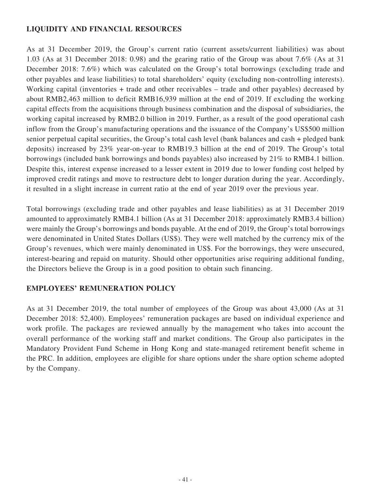# **LIQUIDITY AND FINANCIAL RESOURCES**

As at 31 December 2019, the Group's current ratio (current assets/current liabilities) was about 1.03 (As at 31 December 2018: 0.98) and the gearing ratio of the Group was about 7.6% (As at 31 December 2018: 7.6%) which was calculated on the Group's total borrowings (excluding trade and other payables and lease liabilities) to total shareholders' equity (excluding non-controlling interests). Working capital (inventories + trade and other receivables – trade and other payables) decreased by about RMB2,463 million to deficit RMB16,939 million at the end of 2019. If excluding the working capital effects from the acquisitions through business combination and the disposal of subsidiaries, the working capital increased by RMB2.0 billion in 2019. Further, as a result of the good operational cash inflow from the Group's manufacturing operations and the issuance of the Company's US\$500 million senior perpetual capital securities, the Group's total cash level (bank balances and cash + pledged bank deposits) increased by 23% year-on-year to RMB19.3 billion at the end of 2019. The Group's total borrowings (included bank borrowings and bonds payables) also increased by 21% to RMB4.1 billion. Despite this, interest expense increased to a lesser extent in 2019 due to lower funding cost helped by improved credit ratings and move to restructure debt to longer duration during the year. Accordingly, it resulted in a slight increase in current ratio at the end of year 2019 over the previous year.

Total borrowings (excluding trade and other payables and lease liabilities) as at 31 December 2019 amounted to approximately RMB4.1 billion (As at 31 December 2018: approximately RMB3.4 billion) were mainly the Group's borrowings and bonds payable. At the end of 2019, the Group's total borrowings were denominated in United States Dollars (US\$). They were well matched by the currency mix of the Group's revenues, which were mainly denominated in US\$. For the borrowings, they were unsecured, interest-bearing and repaid on maturity. Should other opportunities arise requiring additional funding, the Directors believe the Group is in a good position to obtain such financing.

# **EMPLOYEES' REMUNERATION POLICY**

As at 31 December 2019, the total number of employees of the Group was about 43,000 (As at 31 December 2018: 52,400). Employees' remuneration packages are based on individual experience and work profile. The packages are reviewed annually by the management who takes into account the overall performance of the working staff and market conditions. The Group also participates in the Mandatory Provident Fund Scheme in Hong Kong and state-managed retirement benefit scheme in the PRC. In addition, employees are eligible for share options under the share option scheme adopted by the Company.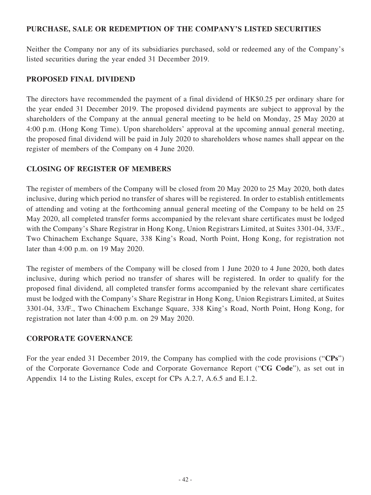# **PURCHASE, SALE OR REDEMPTION OF THE COMPANY'S LISTED SECURITIES**

Neither the Company nor any of its subsidiaries purchased, sold or redeemed any of the Company's listed securities during the year ended 31 December 2019.

## **PROPOSED FINAL DIVIDEND**

The directors have recommended the payment of a final dividend of HK\$0.25 per ordinary share for the year ended 31 December 2019. The proposed dividend payments are subject to approval by the shareholders of the Company at the annual general meeting to be held on Monday, 25 May 2020 at 4:00 p.m. (Hong Kong Time). Upon shareholders' approval at the upcoming annual general meeting, the proposed final dividend will be paid in July 2020 to shareholders whose names shall appear on the register of members of the Company on 4 June 2020.

# **CLOSING OF REGISTER OF MEMBERS**

The register of members of the Company will be closed from 20 May 2020 to 25 May 2020, both dates inclusive, during which period no transfer of shares will be registered. In order to establish entitlements of attending and voting at the forthcoming annual general meeting of the Company to be held on 25 May 2020, all completed transfer forms accompanied by the relevant share certificates must be lodged with the Company's Share Registrar in Hong Kong, Union Registrars Limited, at Suites 3301-04, 33/F., Two Chinachem Exchange Square, 338 King's Road, North Point, Hong Kong, for registration not later than 4:00 p.m. on 19 May 2020.

The register of members of the Company will be closed from 1 June 2020 to 4 June 2020, both dates inclusive, during which period no transfer of shares will be registered. In order to qualify for the proposed final dividend, all completed transfer forms accompanied by the relevant share certificates must be lodged with the Company's Share Registrar in Hong Kong, Union Registrars Limited, at Suites 3301-04, 33/F., Two Chinachem Exchange Square, 338 King's Road, North Point, Hong Kong, for registration not later than 4:00 p.m. on 29 May 2020.

# **CORPORATE GOVERNANCE**

For the year ended 31 December 2019, the Company has complied with the code provisions ("**CPs**") of the Corporate Governance Code and Corporate Governance Report ("**CG Code**"), as set out in Appendix 14 to the Listing Rules, except for CPs A.2.7, A.6.5 and E.1.2.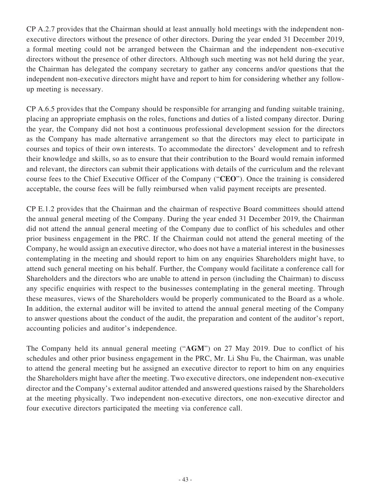CP A.2.7 provides that the Chairman should at least annually hold meetings with the independent nonexecutive directors without the presence of other directors. During the year ended 31 December 2019, a formal meeting could not be arranged between the Chairman and the independent non-executive directors without the presence of other directors. Although such meeting was not held during the year, the Chairman has delegated the company secretary to gather any concerns and/or questions that the independent non-executive directors might have and report to him for considering whether any followup meeting is necessary.

CP A.6.5 provides that the Company should be responsible for arranging and funding suitable training, placing an appropriate emphasis on the roles, functions and duties of a listed company director. During the year, the Company did not host a continuous professional development session for the directors as the Company has made alternative arrangement so that the directors may elect to participate in courses and topics of their own interests. To accommodate the directors' development and to refresh their knowledge and skills, so as to ensure that their contribution to the Board would remain informed and relevant, the directors can submit their applications with details of the curriculum and the relevant course fees to the Chief Executive Officer of the Company ("**CEO**"). Once the training is considered acceptable, the course fees will be fully reimbursed when valid payment receipts are presented.

CP E.1.2 provides that the Chairman and the chairman of respective Board committees should attend the annual general meeting of the Company. During the year ended 31 December 2019, the Chairman did not attend the annual general meeting of the Company due to conflict of his schedules and other prior business engagement in the PRC. If the Chairman could not attend the general meeting of the Company, he would assign an executive director, who does not have a material interest in the businesses contemplating in the meeting and should report to him on any enquiries Shareholders might have, to attend such general meeting on his behalf. Further, the Company would facilitate a conference call for Shareholders and the directors who are unable to attend in person (including the Chairman) to discuss any specific enquiries with respect to the businesses contemplating in the general meeting. Through these measures, views of the Shareholders would be properly communicated to the Board as a whole. In addition, the external auditor will be invited to attend the annual general meeting of the Company to answer questions about the conduct of the audit, the preparation and content of the auditor's report, accounting policies and auditor's independence.

The Company held its annual general meeting ("**AGM**") on 27 May 2019. Due to conflict of his schedules and other prior business engagement in the PRC, Mr. Li Shu Fu, the Chairman, was unable to attend the general meeting but he assigned an executive director to report to him on any enquiries the Shareholders might have after the meeting. Two executive directors, one independent non-executive director and the Company's external auditor attended and answered questions raised by the Shareholders at the meeting physically. Two independent non-executive directors, one non-executive director and four executive directors participated the meeting via conference call.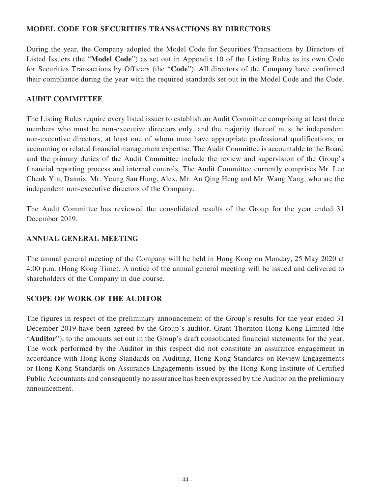# **MODEL CODE FOR SECURITIES TRANSACTIONS BY DIRECTORS**

During the year, the Company adopted the Model Code for Securities Transactions by Directors of Listed Issuers (the "**Model Code**") as set out in Appendix 10 of the Listing Rules as its own Code for Securities Transactions by Officers (the "**Code**"). All directors of the Company have confirmed their compliance during the year with the required standards set out in the Model Code and the Code.

# **AUDIT COMMITTEE**

The Listing Rules require every listed issuer to establish an Audit Committee comprising at least three members who must be non-executive directors only, and the majority thereof must be independent non-executive directors, at least one of whom must have appropriate professional qualifications, or accounting or related financial management expertise. The Audit Committee is accountable to the Board and the primary duties of the Audit Committee include the review and supervision of the Group's financial reporting process and internal controls. The Audit Committee currently comprises Mr. Lee Cheuk Yin, Dannis, Mr. Yeung Sau Hung, Alex, Mr. An Qing Heng and Mr. Wang Yang, who are the independent non-executive directors of the Company.

The Audit Committee has reviewed the consolidated results of the Group for the year ended 31 December 2019.

# **ANNUAL GENERAL MEETING**

The annual general meeting of the Company will be held in Hong Kong on Monday, 25 May 2020 at 4:00 p.m. (Hong Kong Time). A notice of the annual general meeting will be issued and delivered to shareholders of the Company in due course.

# **SCOPE OF WORK OF THE AUDITOR**

The figures in respect of the preliminary announcement of the Group's results for the year ended 31 December 2019 have been agreed by the Group's auditor, Grant Thornton Hong Kong Limited (the "**Auditor**"), to the amounts set out in the Group's draft consolidated financial statements for the year. The work performed by the Auditor in this respect did not constitute an assurance engagement in accordance with Hong Kong Standards on Auditing, Hong Kong Standards on Review Engagements or Hong Kong Standards on Assurance Engagements issued by the Hong Kong Institute of Certified Public Accountants and consequently no assurance has been expressed by the Auditor on the preliminary announcement.